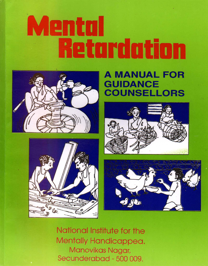# entul HEturdutiun



**DE** 



# A MANUAL FOR GUIDANCE COUNSELLORS





National Institute for the Mentally Handicappea. Manovikas Nagar, Secunderabad - 500 009.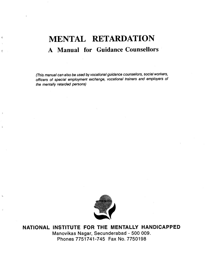# MENTAL RETARDATION A Manual for Guidance Counsellors

 $\epsilon$ 

 $\epsilon$ 

(This manual can also be used by vocational guidance counsellors, social workers, officers of special employment exchange, vocational trainers and employers of the mentally retarded persons)



NATIONAL INSTITUTE FOR THE MENTALLY HANDICAPPED Manovikas Nagar, Secunderabad - 500 009. Phones 7751741-745 Fax No. 7750198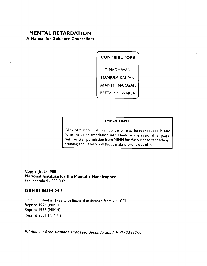# MENTAL RETARDATION

A Manual for Guidance Counsellors

**CONTRIBUTORS** T. MADHAVAN MANJULA KALYAN JAYANTHI NARAYAN REETA PESHWARLA

#### IMPORTANT

"Any part or full of this publication may be reproduced in any form including translation into Hindi or any regional language with written permission from NIMH for the purpose of teaching, training and research without making profit out of it.

الأراد وأراد

Copy right © 1988 National Institute for the Mentally Handicapped Secunderabad - 500 009.

#### ISBN 8 1-86594-04-3

First Published in 1988 with financial assistance from UNICEF Reprint 1994 (NIMH) Reprint 1996 (NIMH) Reprint 2001 (NIMH)

Printed at : Sree Ramana Process, Secunderabad. Hello 7811750'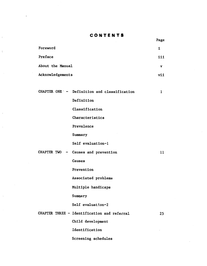#### CONTENTS

Page

| Foreword         | 1.  |
|------------------|-----|
| Preface          | 111 |
| About the Manual | v   |
| Acknowledgements | vii |

 $\ddot{\cdot}$ 

|  | CHAPTER ONE $\sim$ - Definition and classification | 1  |
|--|----------------------------------------------------|----|
|  | Definition                                         |    |
|  | Classification                                     |    |
|  | Characteristics                                    |    |
|  | Prevalence                                         |    |
|  | Summary                                            |    |
|  | Self evaluation-1                                  |    |
|  | CHAPTER TWO - Causes and prevention                | 11 |
|  | Causes                                             |    |

[Prevention](#page-21-0)

[Associated problems](#page-23-0)

[Multiple handicaps](#page-26-0)

Summary

Self evaluation-2

CHAPTER THREE — [Identification](#page-30-0) and referral <sup>25</sup>

[Child development](#page-32-0)

[Identification](#page-38-0)

[Screening schedules](#page-39-0)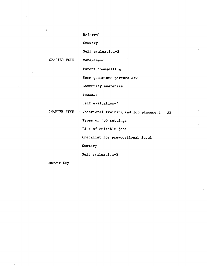#### [Referral](#page-42-0)

[Summary](#page-43-0)

[Self evaluation—3](#page-44-0)

#### CHAPTER FOUR - Management

[Parent counselling](#page-47-0)

Some questions parents ask

[Community awareness](#page-52-0)

[Summary](#page-54-0)

[Self evaluation—4](#page-55-0)

CHAPTER FIVE — Vocational [training and job placement](#page-57-0) <sup>53</sup>

[Types of job settings](#page-60-0)

[List of suitable jobs](#page-61-0)

[Checklist for prevocational level](#page-64-0)

[Summary](#page-70-0)

[Self evaluation—5](#page-71-0)

[Answer Key](#page-72-0)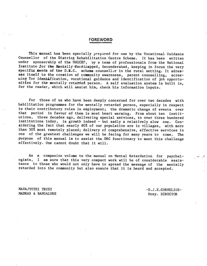#### FOREWORD

<span id="page-5-0"></span>This manual has been specially prepared for use by the Vocational Guidance Counsellor of the District Rehabilitation Centre Scheme. It has been written under sponsorship of the UNICEF, by a team of professionals from the National Institute for the Mentally Handicapped. Secunderabad, keeping in focus the very specific meeds of the D.R.C., scheme counsellor in the rural setting. It adresses itself to the creation of community awareness, parent counselling, screening for identification, vocational guidance and identification of job opportuattics for the mentally retarded person. A self evaluation system is built in, for the reader, which will assist him, check his information inputs.

For those of us who have been deeply concerned for over two decades with habilitation programmes for the mentally retarded person, especially in respect to their contributory roles in employment; the dramatic change of events over that period in favour of them is most heart warming. From about ten institutions, three decades ago, delivering special services, to over three hundered institutions today, is growth indeed — but sadly a relatively slow one. Considering the fact that nearly 80% of our population are in villages, with more than 50% most remotely placed; delivery of comprehensive, effective services is one of the greatest challenges we will be facing for many years to come. The purpose of this manual is to assist the.DRC functionary to meet this challenge effectively. One cannot doubt that it will.

As a companion volume to the manual on Mental Retardation for psychologists, I am sure that this very compact work will be of considerable assistance to those who would not only have to spread the message of the mentally retarded into the community but also ensure that it is heard and accepted.

NAVAJYOTHI TRUST —D . J . K.CORNIELIUS-

MADRAS & BANGALORE Hony. DIRECTOR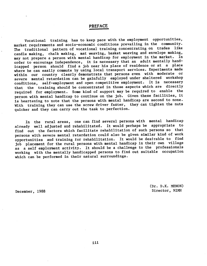#### PREFACE

<span id="page-6-0"></span>Vocational training has to keep pace with the employment opportunities, market requirements and socio-economic conditions prevailing in the community. The traditional pattern of vocational training concentrating on trades like candle making, chalk making, mat weaving, basket weaving and envelope making, may not prepare a person with mental handicap for employment in the market. In order to encourage independence, it Is necessary that an adult mentally handicapped person should find a job near his place of residence or at a place where he can easily commute by using local transport services. Experiments made within our country clearly demonstrate that persons even with moderate or severe mental retardation can be gainfully employed under sheltered workshop conditions, self-employment and open competitive employment. It is necessary that the training should be concentrated in those aspects which are directly required for employment. Some kind of support may be required to enable the person with mental handicap to continue on the job. Given these facilities, It is heartening to note that the persons with mental handicap are second to none. With training they can use the screw driver faster, they can tighten the nuts quicker and they can carry out the task to perfection.

In the rural areas, one can find several persons with mental handicap already well adjusted and rehabilitated. It would perhaps be appropriate to find out the factors which facilitate rehabilitation of such persons so that persons with severe mental retardation could also be given similar kind of work opportunities and training for rehabilitation. It would be desirable to find job placement for the rural persons with mental handicap in their own village as a self employment activity. It should be a challenge to the professionals working with the mentally handicapped persons to find out suitable occupation which can be performed in their natural surroundings.

(Dr. D.K. MENON) December, 1988 Director, NIMH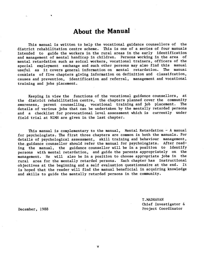# About the Manual

<span id="page-7-0"></span>This manual is written to help the vocational guidance counsellors of the district rehabilitation centre scheme. This is one of a series of four manuals intended to guide the workers in the rural areas in the early identification and management of mental handicap in children. Persons working in the area of mental retardation such as soical workers, vocational trainers, officers of the special employment exchange and such other persons may also find this manual useful as it covers general information on mental retardation. The manual consists of five chapters giving information on definition and classification, causes and prevention, identification and referral, management and vocational training and jobs placement.

Keeping in view the functions of the vocational guidance counsellors, at the district rehabilitation centre, the chapters planned cover the community<br>avareness parent counselling, vocational training and job placement. The awareness, parent counselling, vocational training and job placement. details of various jobs that can be undertaken by the mentally retarded persons and a checklist for prevocational level assessment which is currently under field trial at NIMH are given in the last chapter.

This manual is complementary to the manual, Mental Retardation — A manual for psychologists. The first three chapters are common in both the manuals. For details of psychological assessment, skill training and behaviour management, the guidance counsellor should refer the manual for psychologists. After reading the manual, the guidance counsellor will be in a position to identify persons with mental retardation, and guide the parents appropriately on the management. He will also be in a position to choose appropriate jobs in the rural area for the mentally retarded persons. Each chapter has instructional objectives at the beginning and a self evaluation questionnaire at the end. It is hoped that the reader will find the manual beneficial in acquiring knowledge and skills to guide the mentally retarded persons in the community.

T .MADHAVAN Chief Investigator & December, 1988 **Project** Coordinator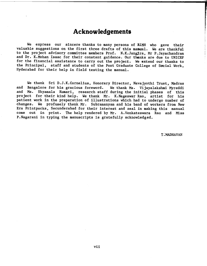# Acknowledgements

<span id="page-8-0"></span>We express our sincere thanks to many persons of NIMH who gave their valuable suggestions on the first three drafts of this manual. We are thankful to the project advisory committee members Prof. N.K.Jangtra, Mr P.Jayachandran and Dr. K.Mohan Isaac for their constant guidance. Our thanks are due to UNICEF for the financial assistance to carry out the project. We extend our thanks to the Principal, staff and students of the Post Graduate College of Social Work, Hyderabad for their help in field testing the manual.

We thank Sri D.J.K.Cornelius, Honorary Director, Navajyothi Trust, Madras<br>Bangalore for his gracious foreword. We thank Ms. Vijavalakshmi Myreddi and Bangalore for his gracious foreword. and Ms. Shyamala Kumari, research staff during the initial phases of this project for their kind help. We thank Mr. K.Nageswar Rao, artist for his patient work in the preparation of illustrations which had to undergo number of changes. We profusely thank Mr. Subramanyam and his band of workers from New Era Printpacks, Secunderabad for their interest and zeal in making this manual come out in print. The help rendered by Mr. A.Venkateswara Rao and Miss P.Nagarani in typing the manuscripts Is gratefully acknowledged.

T. MADHAVAN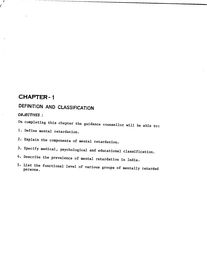# <span id="page-9-0"></span>CHAPTER-f

# DEFINITION AND CLASSIFICATION

#### OBJECTIVES:

- On completing this chapter the guidance counsellor will be able to:
- 1. Define mental retardation.
- 2. Explain the components of mental retardation.
- 3. Specify medical, psychological and educational classification.
- 4. Describe the prevalence of mental retardation in India.
- 5. List the functional level of various groups of mentally retarded persons.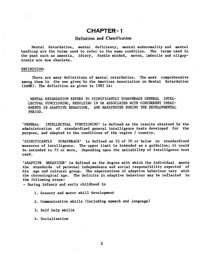# CHAPTER-i

#### Definition and Classification

<span id="page-10-0"></span>Mental Retardation, mental deficiency, mental subnormality and mental handicap are the terms used to refer to the same. condition. The terms used in the past such as amentia, idiocy, feeble minded, moron, imbecile and oligop hrenia are now obsolete.

#### DEFINITION:

There are many definitions of mental retardation. The most comprehensive among them Is the one given by the American Association on Mental Retardation (AANR). The definition as given in 1983 is:

MENTAL RETARDATION REFERS TO SIGNIFICANTLY SUBAVERAGE GENERAL INTEL-LECTUAL FUNCTIONING, RESULTING IN OR ASSOCIATED WITH CONCURRENT IMPAI-RMENTS IN ADAPTIVE BEHAVIOUR, AND MANIFESTED DURING THE DEVELOPMENTAL PERIOD.

'GENERAL INTELLECTUAL FUNCTIONING' is defined as the results obtained by the administration of standardized general intelligence tests developed for the purpose, and adapted to the conditions of the region / country.

'SIGNIFICANTLY SUBAVERAGE' is defined as IQ of 70 or below on standardized measures of intelligence. The upper limit is intended as a guideline; it could be extended to 75 or more, depending upon the reliability of intelligence test used.

'ADAPTIVE BEHAVIOUR' is defined as the degree with which the individual meets the standards of personal independence and social responsibility expected of his age and cultural group. The expectations of adaptive behaviour vary with the chronological age. The deficits in adaptive behaviour may be reflected in the following areas:

— During infancy and early childhood in

1. Sensory and motor skill development

2. Communication skills (including speech and language)

3. Self help skills

4. Socialization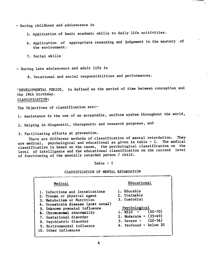<span id="page-11-0"></span>— During childhood and adolescence in

5. Application of basic academic skills to daily life acitivities.

- 6. Application of appropriate reasoning and judgement in the mastery of the environment.
- 7. Social skills

— During late adolescence and adult life in

8. Vocational and social responsibilities and performances

'DEVELOPMENTAL PERIOD, is defined as the period of time between conception and the 18th birthday.

#### CLASSIFICATION:

The Objectives of classification are:-

1. Assistance in the use of an acceptable, uniform system throughout the world,

2. Helping in diagnostic, therapeutic and research purposes, and

3. Facilitating efforts at prevention.

There are different methods of classification of mental retardation. They are medical, psychological and educational as given in table - I. The medical classification is based on the cause, the psychological classification on the level of intelligence and the educational classification on the current level of functioning of the mentally retarded person / child.

Table — I

#### CLASSIFICATION OF MENTAL RETARDATION

| Medical                                                          | Educational                                      |
|------------------------------------------------------------------|--------------------------------------------------|
| 1. Infections and Intoxications<br>2. Trauma or physical agent   | 1. Educable<br>2. Trainable                      |
| 3. Metabolism or Nutrition<br>4. Grossbrain disease (post natal) | 3. Custodial                                     |
| 5. Unknown prenatal influence<br>6. Chromosomal abnormality      | Psychological<br>$(50 - 70)$<br>1. Mild $-$      |
| 7. Gestational disorder<br>8. Psychiatric disorder               | 2. Moderate - $(35-49)$<br>3. Severe $-$ (20-34) |
| 9. Environmental influence<br>10. Other influences               | 4. Profound - below $20$                         |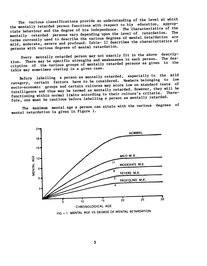The various classifications provide an understanding of the level at which the mentally retarded person functions with respect to his education, appropriate behaviour and the degree of his independence. The characteristics of the mentally retarded persons vary depending upon the level of retardation. The terms currently used to describe the various degrees of mental retardation are where the contract of the contract of the characteristics of mild, moderate, severe and profound. Table- II describes the characteristics of persons with various degrees of mental retardation.

Every mentally retarded person may not exactly fit in the above tion. There may be specific strengths and weaknesses in each person. cription of the various groups of mentally retarded persons as given in the table may sometimes overlap in a given case. descrip— The des—

Before labelling a person as mentally retarded, especially in the mild category, certain factors have to be considered. Members belonging to low socio-economic groups and certain cultures may score low on standard tests of intelligence and thus may be termed as mentally retarded. However, they will be functioning within normal limits according to their culture's criteria. Therefore, one must be cautious before labelling a person as mentally retarded.

The maximum mental age a person can attain with the various degrees of mental retardation is given in Figure 1.



FIG - 1 MENTAL AGE VS DEGREE OF MENTAL RETARDATION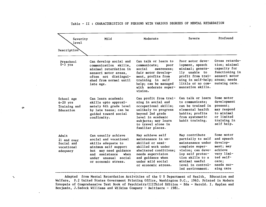# Table — II : CHARACTERISTICS OF PERSONS WITH VARIOUS DEGREES OF MENTAL RETARDATION

<span id="page-13-0"></span>

| Severity<br>level                                            | Mild                                                                                                                                                                                            | Moderate                                                                                                                                                                                              | Severe                                                                                                                                                                                              | Profound                                                                                                                    |
|--------------------------------------------------------------|-------------------------------------------------------------------------------------------------------------------------------------------------------------------------------------------------|-------------------------------------------------------------------------------------------------------------------------------------------------------------------------------------------------------|-----------------------------------------------------------------------------------------------------------------------------------------------------------------------------------------------------|-----------------------------------------------------------------------------------------------------------------------------|
| Description                                                  |                                                                                                                                                                                                 |                                                                                                                                                                                                       |                                                                                                                                                                                                     |                                                                                                                             |
| Preschool<br>$0-5$ yrs                                       | Can develop social and<br>communication skills,<br>minimal retardation in<br>sensori motor areas.<br>often not distingui-<br>shed from normal until<br>late age.                                | Can talk or learn to<br>communicate;<br>poor<br>social<br>awareness;<br>fair motor develop-<br>ment, profits from<br>training in self<br>help; can be managed<br>with moderate super-<br>vision.      | Poor motor deve-<br>lopment, speech<br>minimal; genera-<br>lly unable to<br>profit from trai-<br>ning in self-help; areas; needs<br>little or no com-<br>muncation skills.                          | Gross retarda-<br>tion; minimal<br>capacity for<br>functioning in<br>sensori motor<br>nursing care.                         |
| School age<br>$6-20$ yrs<br>Training and<br>Education        | Can learn academic<br>skills upto approxi-<br>mately 6th grade level<br>by late teens; can be<br>guided toward social<br>confirmity.                                                            | Can profit from trai-<br>ning in social and<br>occupational skills;<br>unlikely to progress<br>beyond 2nd grade<br>level in academic<br>subjects; may learn<br>to travel alone in<br>familiar places. | Can talk or learn<br>to communicate;<br>can be trained in<br>elemental health<br>habits; profits<br>from systematic<br>habit training.                                                              | Some motor<br>development<br>present;<br>may respond<br>to minimal<br>or limited<br>training in<br>self help.               |
| Adult<br>21 and over<br>Social and<br>vocational<br>adequacy | Can usually achieve<br>social and vocational<br>skills adequate to<br>minimum self support<br>but may need guidance<br>when<br>assistance<br>and<br>under unusual social<br>or economic stress. | May achieve self<br>maintenance in un-<br>skilled or semi-<br>skilled work under<br>sheltered conditions:<br>needs supervision<br>and guidance when<br>under mild social<br>or economic stress.       | May contribute<br>partially to self<br>maintenance under<br>complete super-<br>vision; can deve-<br>lop self protec-<br>tion skills to a<br>minimal useful<br>level in control-<br>led environment. | Some motor<br>and speech<br>develop-<br>ment; may<br>achieve<br>very limi-<br>ted self-<br>care:<br>needs nur-<br>sing care |

Adapted from Mental Retardation Activities of the U S Department of Health, Education and Welfare, P.2 United States Government Printing Office, Washington D.C., 1963. Printed in Modern Synopsis of Comprehensive Text Book of Psychiatry/IlIThird Edition — Eds — Herold. I. Kaplan and Benjamin, J.Sadock Williams and Wilkins Company — Baltimore — 1981.

a'

 $\boldsymbol{\gamma}$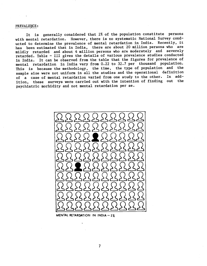#### <span id="page-14-0"></span>PREVALENCE:

It Is generally considered that 2% of the population constitute persons with mental retardation. However, there is no systematic National Survey conducted to determine the prevalence of mental retardation in India. Recently, it has been estimated that in India, there are about 20 million persons who are mildly retarded and about 4 million persons who are moderately and severely retarded. Table — III gives the details of various prevalence studies conducted in India. It can be observed from the table that the figures for prevalence of mental retardation in India vary from 0.22 to 32.7 per thousand population. This is because the methodology, the time, the type of population and the sample size were not uniform in all the studies and the operational definition<br>of a same of mental retardation varied from one study to the other. In addof a case of mental retardation varied from one study to the other. ition, these surveys were carried out with the intention of finding out the psychiatric morbidity and not mental retardation per se.



MENTAL RETARDATION IN INDIA  $-2x$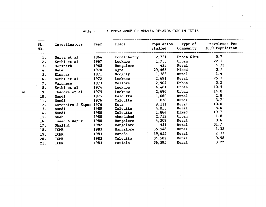| SL.<br>NO. | Investigators Year     |      | Place             | Studied |              | Population Type of Prevalence Per<br>Community 1000 Population |
|------------|------------------------|------|-------------------|---------|--------------|----------------------------------------------------------------|
| 1.         | Surya et al            | 1964 | Pondicherry 2,731 |         | Urban Slum   | 0.7                                                            |
| 2.         | Sethi et al            | 1967 | Lucknow           | 1,733   | Urban        | 22.5                                                           |
| 3.         | Gopinath               | 1968 | Bangalore         | 423     | <b>Rural</b> | 4.72                                                           |
| 4.         | <b>Dube</b>            | 1970 | Agra              | 29,468  | <b>Mixed</b> | 3.7                                                            |
| 5.         | Elnagar                | 1971 | Hooghly           | 1,383   | <b>Rural</b> | 1.4                                                            |
| 6.         | Sethi et al            | 1972 | Lucknow           | 2,691   | <b>Rural</b> | 25.3                                                           |
| 7.         | Varghese               | 1973 | Vellore           | 2,904   | Urban        | 3.2                                                            |
| 8.         | Sethi et al            | 1974 | Lucknow           | 4,481   | Urban        | 10.5                                                           |
| 9.         | Thacore et al          | 1975 | Lucknow           | 2,696   | Urban        | 14.0                                                           |
| 10.        | Nandi                  | 1975 | Calcutta          | 1,060   | <b>Rural</b> | 2.8                                                            |
| 11.        | Nandi                  | 1976 | Calcutta          | 1,078   | <b>Rural</b> | 3.7                                                            |
| 12.        | Carstairs & Kapur 1976 |      | Kota              | 9,111   | <b>Rural</b> | 10.0                                                           |
| 13.        | Nandi                  | 1980 | Calcutta          | 4,053   | <b>Rural</b> | 8.6                                                            |
| 14.        | Nandi                  | 1980 | Calcutta          | 1,864   | <b>Mixed</b> | 10.7                                                           |
| 15.        | Shah                   | 1980 | Ahmedabad         | 2,712   | Urban        | 1.8                                                            |
| 16.        | Isaac & Kapur          | 1980 | Bangalore         | 4,209   | <b>Rural</b> | 3.6                                                            |
| 17.        | Shalini                | 1982 | Bangalore         | 451     | <b>Rural</b> | 32.7                                                           |
| 18.        | ICMR                   | 1983 | Bangalore         | 35,548  | <b>Rural</b> | 1.32                                                           |
| 19.        | ICMR                   | 1983 | Baroda            | 39,655  | <b>Rural</b> | 2.33                                                           |
| 20.        | <b>ICMR</b>            | 1983 | Calcutta          | 34,582  | <b>Rural</b> | 0.58                                                           |
| 21.        | ICMR                   | 1983 | Patiala           | 36,595  | <b>Rural</b> | 0.22                                                           |

Table — III : PREVALENCE OF MENTAL RETARDATION IN INDIA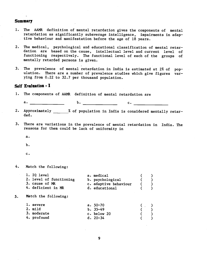#### <span id="page-16-0"></span>Summary

- 1. The AANR definition of mental retardation gives the components of mental retardation as significantly subaverage intelligence, impairments in adap tive behaviour and manifestation before the age of 18 years.
- 2. The medical, psychological and educational classification of mental retardation are based on the cause, intellectual level and current level of functioning respectively. The functional level of each of the groups of mentally retarded persons is given.
- 3. The prevalence of mental retardation in India is estimated at 2% of population. There are a number of prevalence studies which give figures varying from 0.22 to 32.7 per thousand population.

#### Self Evaluation - I

1. The components of AANR definition of mental retardation are

a. \_\_\_\_\_\_\_\_\_\_\_\_\_ b. \_\_\_\_\_\_\_\_ c.

- 2. Approximately 2 % of population in India is considered mentally retarded.
- 3. There are variations in the prevalence of mental retardation in India. The reasons for them could be lack of uniformity in
	- a.
	- b.
	- C.
- 4. Match the following:

| 1. IQ level             | a. medical            |  |  |
|-------------------------|-----------------------|--|--|
| 2. level of functioning | b. psychological      |  |  |
| 3. cause of MR          | c. adaptive behaviour |  |  |
| 4. deficient in MR      | d. educational        |  |  |
|                         |                       |  |  |

5,, Match the following:

| 1. severe<br>a. $50 - 70$<br>$($ $)$                                             | narrii riid Tottowtiik! |         |
|----------------------------------------------------------------------------------|-------------------------|---------|
| 2. m11d<br>3. moderate<br>c. below 20<br>4. profound<br>$d. 20-34$<br>$\epsilon$ | $b. 35-49$              | $($ $)$ |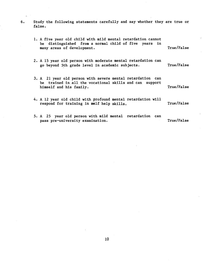6. Study the following statements carefully and say whether they are true or false.

 $\hat{\mathbf{r}}_i$ 

| 1. A five year old child with mild mental retardation cannot<br>be distinguished from a normal child of five years in<br>many areas of development. | True/False |
|-----------------------------------------------------------------------------------------------------------------------------------------------------|------------|
| 2. A 15 year old person with moderate mental retardation can<br>go beyond 5th grade level in academic subjects.                                     | True/False |
| 3. A 21 year old person with severe mental retardation can<br>be trained in all the vocational skills and can support<br>himself and his family.    | True/False |
| 4. A 12 year old child with profound mental retardation will<br>respond for training in self help skills.                                           | True/False |
| 5. A 25 year old person with mild mental retardation can<br>pass pre-university examination.                                                        | True/False |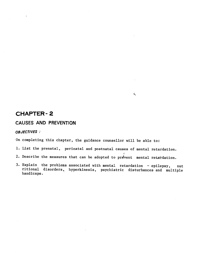# <span id="page-18-0"></span>CHAPTER- 2

## CAUSES AND PREVENTION

#### OBJECTIVES:

On completing this chapter, the guidance counsellor will be able to:

1. List the prenatal, perinatal and postnatal causes of mental retardation.

 $\hat{\mathbf{x}}_s$ 

- 2. Describe the measures that can be adopted to prevent mental retardation.
- 3. Explain the problems associated with mental retardation epilepsy, nut ritional disorders, hyperkinesis, psychiatric disturbances and multiple handicaps.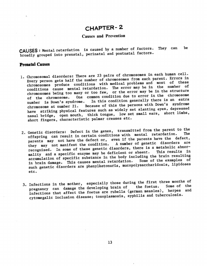# CHAPTER- 2

#### Causes and Prevention

<span id="page-19-0"></span>CAUSES: Mental retardation is caused by a number of factors. They can be broadly grouped into prenatal, perinatal and postnatal factors.

#### Prenatal Causes

- 1. Chromosomal disorders: There are 23 pairs of chromosomes in each human cell. Every person gets half the number of chromosomes from each parent. Errors in chromosomes produce conditions with medical problems and most of these conditions cause mental retardation. The error may be in the number of chromosomes being too many or too few, or the error may be in the structure of the chromosome. One common condition due to error in the chromosome number is Down's syndrome. In this condition generally there is an extra number is Down's syndrome. In this condition generally there is an extra chromosome at number 21. Because of this the persons with Down's syndrome have striking physical features such as widely set slanting eyes, depressed nasal bridge, open mouth, thick tongue, low set small ears, short limbs, short fingers, characteristic palmar creases etc.
- 2. Genetic disorders: Defect in the genes, transmitted from the parent to the offspring can result in certain conditions with mental retardation. parents may not have the defect or, even if the parents have the defect,<br>they may not manifest the condition. A number of genetic disorders are they may not manifest the condition. A number of genetic disorders are recognised. In some of these genetic disorders, there is a metabolic abnormality and a specific enzyme may be deficient or absent. This results in accumulation of specific substance in the body including the brain resulting<br>
in decay in the course mental retardation. Some of the examples of in brain damage. This causes mental retardation. such genetic disorders are phenylketonuria, mucopolysaccharidosis, lipidoses etc.
- 3. Infections in the mother, especially those during the first three months of<br>developing heading heading the foetus. Some of the pregnancy can damage the developing brain of infections that affect the foetus are rubella (german measles), herpes and cytomegalic inclusion disease; toxoplasmosis, syphilis and tuberculosis.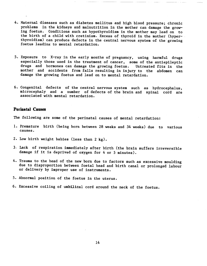- 4. Maternal diseases such as diabetes mellitus and high blood pressure; chronic problems in the kidneys and malnutrition in the mother can damage the growing foetus. Conditions such as hypothyroidism in the mother may lead on to the birth of a child with cretinism. Excess of thyroid in the mother (hyperthyroidism) can produce defects in the central nervous system of the growing foetus leading to mental retardation.
- 5. Exposure to X—ray in the early months of pregnancy, using harmful drugs especially those used in the treatment of cancer, some of the antiepileptic drugs and hormones can damage the growing foetus. Untreated fits in the mother and accidents from falls resulting in injury to the abdomen can damage the growing foetus and lead on to mental retardation.
- 6. Congenital defects of the central nervous system such as hydrocephalus, microcephaly and a number of defects of the brain and spinal cord are associated with mental retardation.

#### Perinatal Causes

The following are some of the perinatal causes of mental retardation:

- 1. Premature birth (being born between 28 weeks and 34 weeks) due to various causes.
- 2. Low birth weight babies (less than 2 kg).
- 3. Lack of respiration immediately after birth (the brain suffers irreversible damage if it is deprived of oxygen for 4 or 5 minutes).
- 4. Trauma to the head of the new born due to factors such as excessive moulding due to disproportion between foetal head and birth canal or prolonged labour or delivery by improper use of instruments.
- 5. Abnormal position of the foetus in the uterus.
- 6. Excessive coiling of umbilical cord around the neck of the foetus.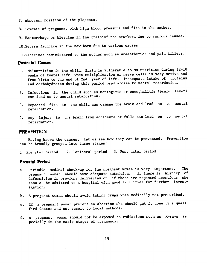- <span id="page-21-0"></span>7. Abnormal position of the placenta.
- 8. Toxemia of pregnancy with high blood pressure and fits in the mother.
- 9. Haemorrhage or bleeding in the brain' of the new-born due to various causes.
- 1O.Severe jaundice in the new—born due to various causes.
- 11.Medicines administered to the mother such as anaesthetics and pain killers.

#### Postnatal Causes

- 1. Malnutrition in the child: Brain is vulnerable to malnutrition during 12—18 weeks of foetal life when multiplication of nerve cells is very active and from birth to the end of 2nd year of life. Inadequate intake of proteins and carbohydrates during this period predisposes to mental retardation.
- 2. Infections in the child such as meningitis or encephalitis (brain fever) can lead on to mental retardation.
- 3. Repeated fits in the child can damage the brain and lead on to mental retardation.
- 4. Any injury to the brain from accidents or falls can lead on to mental retardation.

#### **PREVENTION**

Having known the causes, let us see how they can be prevented. Prevention can be broadly grouped into three stages:

1. Prenatal period 2. Perinatal period 3. Post natal period

#### Prenatal Period

- a. Periodic medical check—up for the pregnant woman is very important. The pregnant woman should have adequate nutrition. If there is history of deformities in previous deliveries or if there are repeated abortions she should be admitted to a hospital with good facilities for further investigation.
- b. A pregnant woman should avoid taking drugs when medically not prescribed.
- c. If a pregnant woman prefers an abortion she should get it done by a qualified doctor and not resort to local methods.
- d. A pregnant woman should not be exposed to radiations such as X—rays especially in the early stages of pregnancy.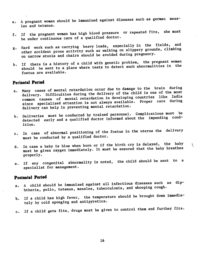- e. A pregnant woman should be immunized against diseases such as german meas les and tetanus.
- f. If the pregnant woman has high blood pressure or repeated fits, she must be under continuous care of a qualified doctor.
- g. Hard work such as carrying heavy loads, especially in the fields, and other accident prone activity such as walking on slippery grounds, climbing on narrow stools and chairs should be avoided during pregnancy.
- h. If there is a history of a child with genetic problem, the pregnant woman should be sent to a place where tests to detect such abnormalities in the foetus are available.

#### Perinatal Period

- a. Many cases of mental retardation occur due to damage to the brain during delivery. Difficulties during the delivery of the child is one of the most common causes of mental retardation in developing countries like India since specialized attention is not always available. Proper care during delivery can help in preventing mental retardation.
- b. Deliveries must be conducted by trained personnel. Complications must be detected early and a qualified doctor informed about the impending condition.
- c. In case of abnormal positioning of the foetus in the uterus the delivery must be conducted by a qualified doctor.
- d. In case a baby is blue when born or if the birth cry is delayed, the baby must be given oxygen immediately. It must be ensured that the baby breathes properly.
- e. If any congenital abnormality is noted, the child should be sent to a specialist for management.

#### Postnatal Period

- a. A child should be Immunized against all infectious diseases such as diphtheria, polio, tetanus, measles, tuberculosis, and whooping cough.
- b. If a child has high fever, the temperature should be brought down immediately by cold sponging and antipyreticS.
- c. If a child gets fits, drugs must be given to control them and further fits.

16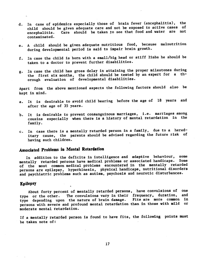- <span id="page-23-0"></span>d. In case of epidemics especially those of brain fever (encephalitis), the child should be given adequate care and not be exposed to active cases of encephalitis. Care should be taken to see that food and water are not contaminated.
- e. A child should be given adequate nutritious food, because malnutrition during developmental period is said to impair brain growth.
- f. In case the child is born with a small/big head or stiff limbs he should be taken to a doctor to prevent further disabilities.
- g. In case the child has gross delay in attaining the proper milestones during the first six months, the child should be tested by an expert for a thorough evaluation of developmental disabilities.

Apart from the above mentioned aspects the following factors should also be kept in mind.

- a. It is desirable to avoid child bearing before the age of 18 years and after the age of 35 years.
- b. It is desirable to prevent consanguinous marriages, i.e. marriages among cousins especially when there is a history of mental retardation in the family.
- c. In case there is a mentally retarded person in a family, due to a hereditary cause, the parents should be advised regarding the future risk of having such children.

# Associated Problems in Mental Retardation

In addition to the deficits in intelligence and adaptive behaviour, some<br>thally retarded persons have medical problems or associated handicaps. Some mentally retarded persons have medical problems or associated handicaps. of the most common medical problems encountered in the mentally retarded persons are epilepsy, hyperkinesis, physical handicaps, nutritional disorders and psychiatric problems such as autism, psychosis and neurotic disturbances.

#### Epilepsy

About forty percent of mentally retarded persons, have convulsions of one<br>senths other the convulsions vary in their frequency, duration, and type or the other. The convulsions vary in their frequency, duration, type depending upon the nature of brain damage. Fits are more common in persons with severe and profound mental retardation than in those with mild or moderate mental retardation.

If a mentally retarded person is found to have fits, the following points must be taken note of: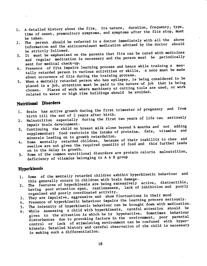- 1. A detailed history about the fits, its nature, duration, frequency, type, time of onset, premonitory symptoms, and symptoms after the fits stop, must<br>be taken.
- be taken. 2. The person should be referred to a doctor immediately with all the above information and the anticonvulsant medication advised by the doctor should<br>be strictly followed.
- be strictly followed.<br>3. It must be emphasised on the parents that fits can be cured with medicines and regular medication is necessary and the person must be periodically sent for medical check-up.
- sent for medical check-up.<br>4. Presence of fits impairs learning process and hence while training a mentally retarded person in various activities or skills, a note must be made about occurence of fits during the training process.
- 5. When a mentally retarded person who has epilepsy, is being considered to be placed in a job, attention must be paid to the nature of job that is being chosen. Places of work where machinery or cutting tools are used, or work related to water or high rise buildings should be avoided.

# Nutritional Disorders

- 1. Brain has active growth during the first trimester of pregnancy and from<br>birth till the end of 2 years after birth.
- birth till the end of 2 years after birth. 2. Malnutrition especially during the first two years of life can seriously
- impair brain development. 3. Continuing the child on breast milk alone beyond 6 months and not adding supplementary food restricts the intake of proteins, fats, vitamins and minerals leading on to growth retardation.
- minerals leading on to growth retardation.<br>4. Some mentally retarded children, because of their inability to chew and<br>this further leads swallow are not given the required quantity of food and this further leads<br>on to the delay in growth.
- on to the delay in growth. 5. Some of the common nutritional disorders are protein calorie malnutrition, deficiency of vitamins belonging to A & B group

#### **Hyperkinesis**

- 1. Some of the mentally retarded children exhibit hyperkinetic behaviour and this generally occurs in children with brain damage.
- 2. The features of hyperkinesis are being excessively active, distractible, having poor attention span, restlessness, lack of inhibition and poorly organised and poorly coordinated activity.
- organised and poorly coordinated activity. show fluctuations in their mood
- 3. They are impulsive, aggressive and show finded<br>4. Presence of hyperkinetic behaviour impairs the learning process seriously.
- 5. The intensity of hyperkinetic behaviour can be brought down with medication.
- 
- 6. While assessing a child with hyperkinesis, careful attention should be given to the situation in which he is hyperactive. Sometimes behaviour given to the situation in which he is hyperactive. Sometimes behaviour given to the energy contains factors in the environment, poor parental<br>disturbances due to provoking factors in the engineed with hypercontrol or lack of stimulating environment can be confused with hyperkinesis. Detailed history and careful observation of the child is necessary in making such a differentiation.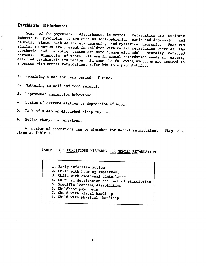# Psychiatric Disturbances

Some of the psychiatric disturbances in mental retardation are autistic behaviour, psychotic states such as schizophrenia, mania and depression and<br>neurotic states such as anxiety neurosis, and hysterical neurosis. Features neurotic states such as anxiety neurosis, and hysterical neurosis. similar to autism are present in children with mental retardation where as the psychotic and neurotic states are more common with adult mentally retarded<br>persons. Diagnosis of mental illness in mental retardation needs an expert, detailed psychiatric evaluation. In case the following symptoms are noticed in a person with mental retardation, refer him to a psychiatrist.

1. Remaining aloof for long periods of time.

2. Muttering to self and food refusal.

3. Unprovoked aggressive behaviour.

4. States of extreme elation or depression of mood.

5. Lack of sleep or disturbed sleep rhythm.

6. Sudden change in behaviour.

A number of conditions can be mistaken for mental retardation. They are given at Table-1.

# TABLE - <sup>1</sup> : CONDITIONS MISTAKEN FOR MENTAL RETARDATION

1. Early infantile autism

- 2. Child with hearing impairment
- 3. Child with emotional disturbance
- 4. Cultural deprivation and lack of stimulation
- 5. SpecifIc learning disabilities
- 6. Childhood psychosis
- 7. Child with visual handicap
- 8. Child with physical handicap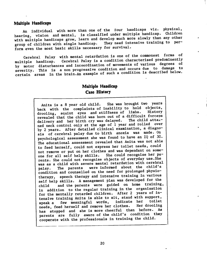#### <span id="page-26-0"></span>Multiple Handicaps

An individual with more than one of the four handicaps viz, physical, hearing, vision and mental, is classified under multiple handicap. Children with multiple handicaps grow, learn and develop much more slowly than any other<br>enous of objidron with single bandicap. They need intensive training to pergroup of children with single handicap. form even the most basic skills necessary for survival.

Cerebral Palsy with mental retardation is one of the commonest forms of<br>iple handicap. Cerebral Palsy is a condition characterised predominently multiple handicap. Cerebral Palsy is a condition characterised predominently<br>in the contract of various degrees of by motor disturbances and incoordination of movements of various degrees of severity. This is a non progressive condition and occurs due to damage to certain areas in the brain.An example of such a condition is described below.

### Multiple Handicap Case History

Anita is a 8 year old child. She was brought two years back with the complaints of inability to hold objects, drooling, squint eyes and stiffness of limbs. revealed that the child was born out of a difficult forceps delivery and her birth cry was delayed. The child attained neck control only at the age of 1 year and rolled over by 2 years. After detailed clinical examination, a diagnosis of cerebral palsy due to birth anoxia was made. On psychological assessment she was found to have an IQ of 30. The educational assessment revealed that Anita was not able to feed herself, could not express her toilet needs, could not remove or put on her clothes and was dependant on some-<br>one for all self help skills. She could recognise her paone for all self help skills. She could recognise her parents. She could not recognise objects of everyday use.She was as a child with severe mental retardation with cerebral<br>palsy. The parents were informed about the child's palsy. The parents were informed about the child's condition and counselled on the need for prolonged physiotherapy, speech therapy and intensive training in various self help skills. A management plan was developed for the child and the parents were guided on home training, in addition to the regular training in the organisation for the mentally retarded children. After 2 years of intensive training Anita is able to sit, stand with support, speak a few meaningful words, indicate her toilet needs, feed herself and remove her clothes. has stopped and she is more cheerful than before. As parents are fully aware of the child's condition they cooperate with the professionals in training the child.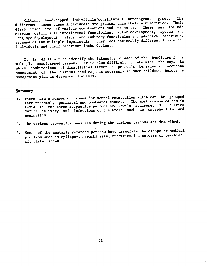<span id="page-27-0"></span>Multiply handicapped individuals constitute a heterogenous group. The differences among these individuals are greater than their similarities. Their disabilities are of various combinations and intensity. extreme deficits in intellectual functioning, motor development, speech and language development, visual and auditory functioning and adaptive behaviour. Because of the multiple impairments, they look noticeably different from other individuals and their behaviour looks deviant.

It is difficult to identify the intensity of each of the handicaps in a multiply handicapped person. It is also difficult to determine the ways in which combinations of disabilities affect a person's behaviour. assessment of the various handicaps is necessary in such children before a management plan is drawn out for them.

#### **Summary**

- 1. There are a number of causes for mental retardation which can be grouped into prenatal, perinatal and postnatal causes. The most common causes in India in the three respective periods are Down's syndrome, difficulties during delivery and infections of the brain such as encephalitis and meningitis.
- 2. The various preventive measures during the various periods are described.
- 3. Some of the mentally retarded persons have associated handicaps or medical problems such as epilepsy, hyperkinesis, nutritional disorders or psychiatric disturbances.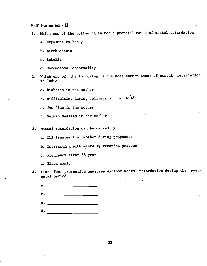#### <span id="page-28-0"></span>Self Evaluation - II

- 1. Which one of the following is not a prenatal cause of mental retardation.
	- a. Exposure to X—ray
	- b. Birth anoxia
	- c. Rubella
	- d. Chromosomal abnormality
- 2. Which one of the following is the most common cause of mental retardation in India
	- a. Diabetes in the mother
	- b. Difficulties during delivery of the child
	- c. Jaundice In the mother
	- d. German measles in the mother
- 3. Mental retardation can be caused by
	- a. Ill treatment of mother during pregnancy
	- b. Interacting with mentally retarded persons
	- c. Pregnancy after 35 years
	- d. Black magic
- 4. LIst four preventive measures against mental retardation during the postnatal period
	- $\mathbf{a.}$ b. \_\_\_\_\_\_\_\_\_\_\_\_\_\_\_\_\_\_\_\_\_  $c.$   $\qquad \qquad$ d.  $\qquad \qquad$

22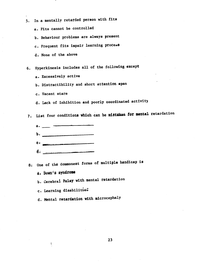- 5. In a mentally retarded person with fits
	- a. Fits cannot be controlled
	- b. Behaviour problems are always present
	- c. Frequent fits impair learning process
	- d. None of the above

6. Hyperkinesis includes all of the following except

- a. Excessively active
- b. Distractibility and short attention span
- c. Vacant stare
- d. Lack of inhibition and poorly coordinated activity

7. List four conditions which can be mistaken for mental retardation

- a. $b.$  $\epsilon$ .
- 8: One of the commonest forms of multiple handicap is
	- a. Down's syndrome

ł,

b. Cerebral Palsy with mental retardation

c. Learning disabilitié

d. Mental retardation with microcephalY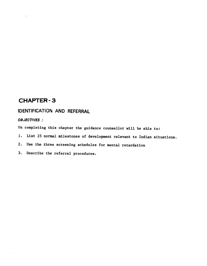# <span id="page-30-0"></span>CHAPTER -3

# IDENTIFICATION AND REFERRAL

OBJECTIVES:

On completing this chapter the guidance counsellor will be able to:

- 1. List 25 normal milestones of development relevant to Indian situations.
- 2. Use the three screening schedules for mental retardation
- 3. Describe the referral procedures.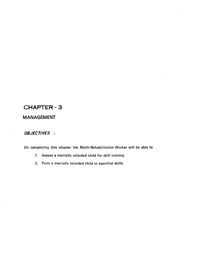# CHAPTER -3

# MANAGEMENT

#### OBJECTIVES :

On completing this chapter the Multi—Rehabilitation Worker will be able to

- 1. Assess a mentally retarded child for skill training
- 2. Train a mentally retarded child in essential skills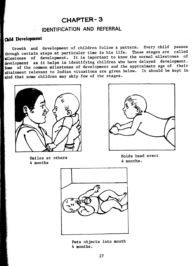# **CHAPTER-3**

# IDENTIFICATION AND REFERRAL

# Child Development

Growth and development of children follow a pattern. Every child passes through certain steps at particular time in his life. These stages are called pilestones of development. It is important to know the normal milestones of. development as it helps in identifying children who have delayed development. Some of the common milestones of development and the approximate age of their attainment relevant to Indian situations are given below. It should be kept in mind that some children may skip few of the stages.





Smiles at others 4 months

Holds head erect 4 months.



Puts objects into mouth 4 months.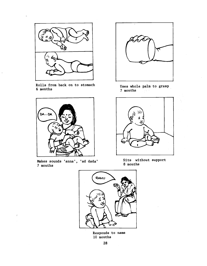

Rolls from back on to stomach 6 months



Makes sounds 'anna', 'ad dada' 7 months

 $\overline{1}$ 



Uses whole palm to grasp 7 months



Sits without support 8 months



Responds to name 10 months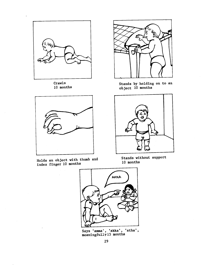

Crawls 10 months



Holds an object with thumb and index finger 10 months



Stands by holding on to an object 10 months



Stands without support 10 months



Says 'amma', 'akka', 'atha', meaningfullY 15 months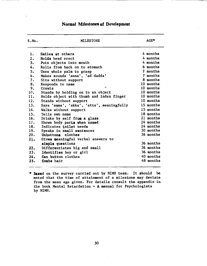## Normal Milestones of Development

| S.No. | <b>MILESTONE</b>                          | $AGE*$    |
|-------|-------------------------------------------|-----------|
| ı.    | Smiles at others                          | 4 months  |
| 2,    | Holds head erect                          | 4 months  |
| 3.    | Puts objects into mouth                   | 4 months  |
| 4.    | Rolls from back on to stomach             | 6 months  |
| 5.    | Uses whole palm to grasp                  | 7 months  |
| 6.    | Makes sounds 'anna', 'ad dadda'           | 7 months  |
| 7.    | Sits without support                      | 8 months  |
| 8.    | Responds to name                          | 10 months |
| 9.    | ٠V<br>Crawls                              | 10 months |
| 10.   | Stands by holding on to an object         | 10 months |
| 11.   | Holds object with thumb and index finger  | 10 months |
| 12.   | Stands without support                    | 10 months |
| 13.   | Says 'amma', 'akka', 'atta', meaningfully | 15 months |
| 14.   | Walks without support                     | 15 months |
| 15.   | Tells own name                            | 18 months |
| 16.   | Drinks by self from a glass               | 21 months |
| 17.   | Shows body parts when named               | 24 months |
| 18.   | Indicates toilet needs                    | 24 months |
| 19.   | Speaks in small sentences                 | 30 months |
| 20.   | Unbuttons clothes                         | 36 months |
| 21.   | Gives meaningful verbal answers to        |           |
|       | simple questions                          | 36 months |
| 22,   | Differentiates big and small              | 36 months |
| 23.   | Identifies boy or girl                    | 36 months |
| 24.   | Can button clothes                        | 40 months |
| 25.   | Combs hair                                | 48 months |

\* 3ased on the survey carried out by NIMH team. It should be noted that the time of attainment of a milestone may deviate from the mean age given. For details consult the appendix in the book Mental Retardation  $-A$  manual for Psychologists by NIMH.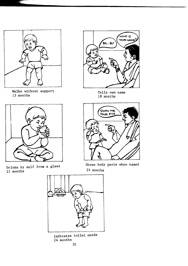

Walks without support 15 months



Drinks by self from a glass 21 months



Tells own name 18 months



Shows body parts when named 24 months



indicates toilet needs 24 months.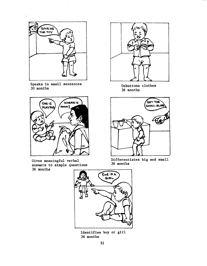

 $\overline{a}$ 

Speaks in small sentences 30 months



Gives meaningful verbal answers to simple questions 36 months



Unbuttons clothes 36 months



Differentiates big and small 36 months



Identifies boy or girl 36 months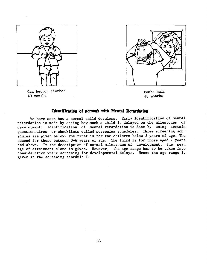

Can button clothes 40 months



Combs hair 48 months

#### Identification of persons with Mental Retardation

We have seen how a normal child develops. Early identification of mental retardation is made by seeing how much a child is delayed on the milestones of development. Identification of mental retardation is done by using certain questionnaires or checklists called screening schedules. Three screening sch- edules are given below. The first is for the children below 3 years of age. The second for those between 3—6 years of age. The third is for those aged 7 years and above. In the description of normal milestones of development, the mean age of attainment alone is given. However, the age range has to be taken into consideration while screening for developmental delays. Hence the age range is given in the screening schedule-I.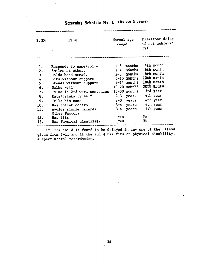| S.NO.                                                             | <b>ITEM</b>                                                                                                                                                                                                                                                             | Normal age<br>range                                                                                                                                                                          | Milestone delay<br>if not achieved<br>by:                                                                     |
|-------------------------------------------------------------------|-------------------------------------------------------------------------------------------------------------------------------------------------------------------------------------------------------------------------------------------------------------------------|----------------------------------------------------------------------------------------------------------------------------------------------------------------------------------------------|---------------------------------------------------------------------------------------------------------------|
| 1.<br>2.<br>3.<br>4.<br>5.<br>6.<br>7.7<br>8.<br>9.<br>10.<br>11. | Responds to name/voice<br>Smiles at others<br>Holds head steady<br>Sits without support<br>Stands without support<br>Walks well<br>Talks in 2-3 word sentences<br>Eats/drinks by self<br>Tells his name<br>Has toilet control<br>Avoids simple hazards<br>Other Factors | $1-3$ months<br>$1-4$ months<br>$2-6$ months<br>5-10 months 12th month<br>9-14 months<br>10-20 months 20th month<br>$16-30$ months<br>$2-3$ years<br>$2-3$ years<br>$3-4$ years<br>3-4 years | 4th month<br>6th month<br>6th month<br>18th month<br>3rd year<br>4th year<br>4th year<br>4th year<br>4th year |
| 12.<br>13.                                                        | Has fits<br>Has Physical disability                                                                                                                                                                                                                                     | Yes<br>Yes                                                                                                                                                                                   | Ņо<br>Ņю                                                                                                      |

# Screening Schedule No. 1 (Below 3 years)

If the child is found to be delayed in any one of the items given from 1-11 and if the child has fits or physical disability, suspect mental retardation.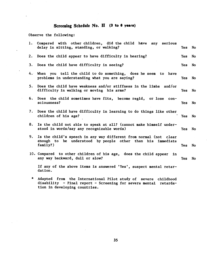### Screening Schedule No. II (3 to 6 years)

Observe the following:

 $\ddot{\phantom{a}}$ 

| 1. | Compared with other children, did the child have any serious<br>delay in sitting, standing, or walking?                         | Yes        | No  |  |  |  |  |  |
|----|---------------------------------------------------------------------------------------------------------------------------------|------------|-----|--|--|--|--|--|
|    | 2. Does the child appear to have difficulty in hearing?                                                                         | Yes        | No  |  |  |  |  |  |
|    | 3. Does the child have difficulty in seeing?                                                                                    | Yes        | No. |  |  |  |  |  |
|    | 4. When you tell the child to do something, does he seem to have<br>problems in understanding what you are saying?              | Yes        | No  |  |  |  |  |  |
|    | 5. Does the child have weakness and/or stiffness in the limbs and/or<br>difficulty in walking or moving his arms?               | Yes        | No  |  |  |  |  |  |
|    | 6. Does the child sometimes have fits, become regid, or lose con-<br>sciousness?                                                | Yes        | No  |  |  |  |  |  |
|    | 7. Does the child have difficulty in learning to do things like other<br>children of his age?                                   |            |     |  |  |  |  |  |
| 8. | Is the child not able to speak at all? (cannot make himself under-<br>stood in words/say any recognizable words)                |            |     |  |  |  |  |  |
| 9. | Is the child's speech in any way different from normal (not clear<br>enough to be understood by people other than his immediate |            |     |  |  |  |  |  |
|    | $family?$ )                                                                                                                     | <b>Yes</b> | No  |  |  |  |  |  |
|    | 10. Compared to other children of his age, does the child appear<br>in.<br>any way backward, dull or slow?                      | Yes        | No  |  |  |  |  |  |
|    | If any of the above items is answered 'Yes', suspect mental retar-<br>dation.                                                   |            |     |  |  |  |  |  |
|    |                                                                                                                                 |            |     |  |  |  |  |  |

\* Adapted from the International Pilot study of severe childhood disability — Final report — Screening for severe mental retardation in developing countries.

35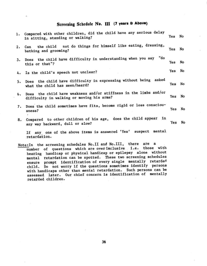### Screening Schedule No. III (7 years & Above)

|    | 1. Compared with other children, did the child have any serious delay<br>in sitting, standing or walking?      | Yes No |  |
|----|----------------------------------------------------------------------------------------------------------------|--------|--|
| 2. | Can the child not do things for himself like eating, dressing,<br>bathing and grooming?                        | Yes No |  |
|    | 3. Does the child have difficulty in understanding when you say "do<br>this or that"?                          | Yes No |  |
|    | 4. Is the child's speech not unclear?                                                                          | Yes No |  |
| 5. | Does the child have difficulty in expressing without being asked<br>what the child has seen/heard?             | Yes No |  |
| 6. | Does the child have weakness and/or stiffness in the limbs and/or<br>difficulty in walking or moving his arms? | Yes No |  |
| 7. | Does the child sometimes have fits, become rigid or loss consciou-<br>sness?                                   | Yes No |  |
| 8. | Compared to other children of his age, does the child appear in<br>any way backward, dull or slow?             | Yes No |  |
|    | If any one of the above items is answered 'Yes' suspect mental<br>retardation.                                 |        |  |

Note:In the screening schedules No.11 and No.111, there are a number of questions which are overinclusive i.e. those with hearing handicap or physical handicap or epilepsy alone without mental retardation can be spotted. These two screening schedules ensure prompt identification of every single mentally retarded child. Do not worry if the questions sometimes identify persons with handicaps other than mental retardation. Such persons can be assessed later. Our chief concern is identification of mentally retarded children.

36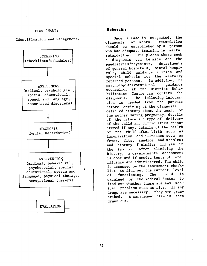### FLOW CHART: Referrals:

#### Identification and Management.



Once a case is suspected, the<br>diagnosis of mental retardation diagnosis of mental retardation should be established by a person who has adequate training in mental<br>retardation. The places where such The places where such a diagnosis can be made are the<br>paediatrics/psychiatry departments paediatrics/psychiatry of general hospitals, mental hospitals, child guidance clinics and special schools for the mentally<br>retarded persons. In addition, the retarded persons. In addition, the<br>psychologist/vocational guidance psychologist/vocational guidance counsellor at the District Rehabilitation Centre can confirm the diagnosis. The following information is needed from the parents before arriving at the diagnosis detailed history about the health of the mother during pregnancy, details of the nature and type of delivery of the child and difficulties encountered if any, details of the health of the child after birth such as immunization and illnesses such as fever, fits, jaundice and measles; and history of similar illness in the family. After eliciting the history, a developmental assessment is done and if needed tests of intelligence are administered. The child is assessed on the assessment checklist to find out the current level<br>of functioning, The child is of functioning. The examined by the medical doctor to find out whether there are any medical problems such as fits. If any drugs are necessary, they are pres-<br>cribed. A management plan is then A management plan is then drawn out.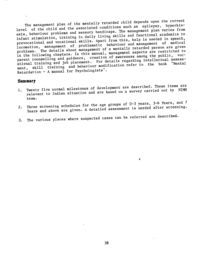The management plan of the mentally retarded child depends upon the current level of the child and the associated conditions such as epilepsy, hyperkinesis, behaviour problems and sensory handicaps. The management plan varies from infant stimulation, training in daily living skills and finctional academics to prevocational and vocational skills. Apart from this, help is needed in speech, locomotion, management of problematic behaviour and management of medical problems. The details about management of a mentally retarded person are given in the following chapters. In this manual, management aspects are restricted to in the following chapters. In this manual, manugement and public, voc-<br>parent counselling and guidance, creation of awareness among the public, vocational training and job placement. For details regarding intellectual assessment, skill training and behaviour modification refer to the book "Mental Retardation — A manual for PsychologistS'.

### Summary

- 1. Twenty five normal milestones of development are described. These items are<br>it will be interested and are based on a survey carried out by NIMH relevant to Indian situation and are based on a survey carried out by NINH team.
- 2. Three screening schedules for the age groups of 0-3 years, 3-6 Years, and 7<br>2. Three screening schedules for the 11ed escossment is needed after screening. Three screening schedules for the space assessment is needed after screening.

 $\mathbf{z}$  such that  $\mathbf{z}$ 

3. The various places where suspected cases can be referred are described,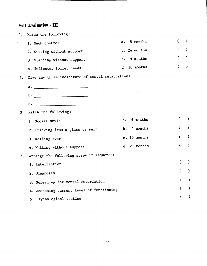### Self Evaluation - III

 $\frac{1}{\sigma_{\rm c}}$ 

| 1. | Match the following:                             |                |                |               |
|----|--------------------------------------------------|----------------|----------------|---------------|
|    | 1. Neck control                                  | 8 months<br>a. | €              | $\lambda$     |
|    | 2. Sitting without support                       | b. 24 months   | $\overline{C}$ | $\lambda$     |
|    | 3. Standing without support                      | 4 months<br>c. | €              | $\lambda$     |
|    | 4. Indicates toilet needs                        | d. 10 months   | €              | $\lambda$     |
| 2. | Give any three indicators of mental retardation: |                |                |               |
|    | a. <u>_________________</u> _______              |                |                |               |
|    | b.                                               |                |                |               |
|    | <u>_______________________</u><br>$\mathbf c$ .  |                |                |               |
| 3. | Match the following:                             |                |                |               |
|    | 1. Social smile                                  | 6 months<br>a. | €              | $\mathcal{C}$ |
|    | 2. Drinking from a glass by self                 | 4 months<br>ъ. | $\left($       | $\sum$        |
|    | 3. Rolling over                                  | c. 15 months   | $\overline{C}$ | $\mathcal{E}$ |
|    | 4. Walking without support                       | d. 21 months   | $\overline{C}$ | $\lambda$     |
| 4. | Arrange the following steps in sequence:         |                |                |               |
|    | 1. Intervention                                  |                | €              | $\lambda$     |
|    | 2. Diagnosis                                     |                | C              | $\lambda$     |
|    | 3. Screening for mental retardation              |                | $\epsilon$     | $\mathcal{Y}$ |
|    | 4. Assessing current level of functioning        |                | €              | $\mathcal{Y}$ |
|    | 5. Psychological testing                         |                |                | €             |
|    |                                                  |                |                |               |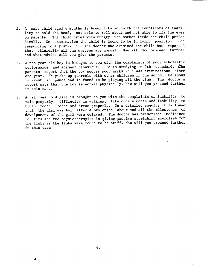- 5. A male child aged 8 months is brought to you with the complaints of inability to hold the head, not able to roll about and not able to fix the eyes on parents. The child cries when hungry. The mother feeds the child periodically. On examination the child is found to be in lying position, not responding to any stimuli. The doctor who examined the child has reported that clinically all the systems are normal. How will you proceed further and what advice will you give the parents.
- 6. A ten year old boy is brought to you with the complaints of poor scholastic performance and adament behaviour. He is studying in 5th standard. The parents report that the boy scores poor marks in class examinations since one year. He picks up quarrels with other children in the school. He shows interest in games and is found to be playing all the time. The doctor's report says that the boy is normal physically. How will you proceed further in this case.
- 7. A six year old girl is brought to you with the complaints of inability to talk properly, difficulty in walking, fits once a month and inability to brush teeth, bathe and dress properly. On a detailed enquiry it is found that the girl was born after a prolonged labour and all the milestones of develpoment of the girl were delayed. The doctor has prescribed medicines for fits and the physiotherapist is giving passive stretching exercises for the limbs as the limbs were found to be stiff. How will you proceed further in this case.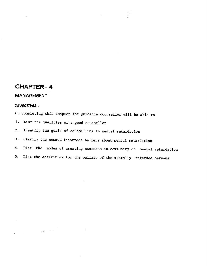### CHAPTER- 4

 $\label{eq:2} \frac{1}{\sqrt{2\pi}}\left(\frac{1}{\sqrt{2\pi}}\right)^{1/2}\frac{1}{\sqrt{2\pi}}\left(\frac{1}{\sqrt{2\pi}}\right)^{1/2}\frac{1}{\sqrt{2\pi}}\left(\frac{1}{\sqrt{2\pi}}\right)^{1/2}\frac{1}{\sqrt{2\pi}}\frac{1}{\sqrt{2\pi}}\frac{1}{\sqrt{2\pi}}\frac{1}{\sqrt{2\pi}}\frac{1}{\sqrt{2\pi}}\frac{1}{\sqrt{2\pi}}\frac{1}{\sqrt{2\pi}}\frac{1}{\sqrt{2\pi}}\frac{1}{\sqrt{2\pi}}\frac{1}{\$ 

### **MANAGEMENT**

#### OBJECTIVES:

On completing this chapter the guidance counsellor will be able to

1. List the qualities of a good counsellor

2. Identify the goals of counselling in mental retardation

3. Clarify the common incorrect beliefs about mental retardation

4. List the modes of creating awarness in community on mental retardation

5. List the activities for the welfare of the mentally retarded persons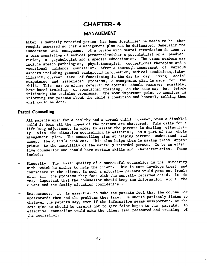### CHAPTER— 4

#### **MANAGEMENT**

After a mentally retarded person has been identified he needs to be tho roughly assessed so that a management plan can be delineated. Generally the assessment and management of a person with mental retardation is done by a team consisting of medical personnel—either a psychiatrist or a paediat rician, a psychologist and a special educationist. The other members may include speech pathologist, physiotherapist, occupational therapist and a vocational guidance counsellor. After a thorough assessment of various aspects including general background information, medical conditions, inteiligence, current level of functioning in the day to day living, social competence and associated problems, a management plan is made for the<br>child. This may be either referral to special schools wherever possible, This may be either referral to special schools wherever possible, home based training, or vocational training, as the case may be. Before initiating the training programme, the most Important point to consider is informing the parents about the child's condition and honestly telling them what could be done.

#### Parent Counselling

All parents wish for a healthy and a normal child.. However, when a disabled child is born all the hopes of the parents are shattered. This calls for a life long adjustment. In order to assist the parents in dealing effectively with the situation counselling is essential, as a part of the whole management plan. The counselling aims at helping parents understand and accept the child's problems. This also helps them in making plans appropriate to the capability of the mentally retarded person. To be an effective counsellor one should have certain skills and characteristics. include:

- Sincerity. The basic quality of a successful counsellor is the sincerity with which he wishes to help the client. This in turn develops trust and confidence in the client. In such a situation parents would come out freely with all the problems they face with the mentally retarded child. It very important that the counsellor should keep the information about the client and the family situation confidential.
- Reassurance. It is essential to make the parents feel that the counsellor understands them and the problems they face. He should patiently listen to whatever the parents say, even if the information seems unimportant. At the same time he should be careful not to give false hopes to the parents. An effective counsellor would make the client feel reassured and trusting of the counsellor.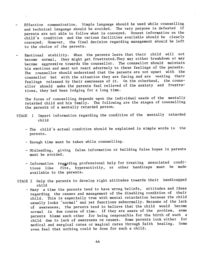- Effective communication. Simple language should be used while counselling and technical language should be avoided. The very purpose is defeated if parents are not able to follow what is conveyed. Honest information on the child's condition and the various facilities available should be clearly conveyed. However, the final decision regarding management should be left to the choice of the parents.
- Emotional stability. When the parents learn that their child will not become normal, they might get frustrated.They may either breakdown or may become aggressive towards the counsellor. The counsellor should maintain his emotions and must not react adversely to these feelings of the parents. The counsellor should understand that the parents are not upset with the counsellor but with the situation they are facing and are venting their feelings released by their awareness of it. On the otherhand, the counsellor should make the parents feel relieved of the anxiety and frustrations, they had been lodging for a long time.

The focus of counselling depends upon the individual needs of the mentally retarded child and his family. The following are the stages of counselling the parents of a mentally retarded person.

- STAGE 1 Impart information regarding the condition of the mentally retarded child
	- The child's actual condition should be explained in simple words to the parents.
	- Enough time must be taken while counselling.
	- Misleading, giving false information or building false hopes in parents must be avoided.
	- Information regarding professional help for treating associated conditions like fits, hyperactivity, or other handicaps must be made available to the parents.
- STAGE 2 Help the parents to develop right attitudes towards their handicapped child
	- Many a time the parents tend to have wrong beliefs, attitudes and ideas regarding the causes and management of the disabling condition of their child. This is especially true with mental retardation because the child usually looks 'normal' and yet functions subnormally. Because of the lack of awareness, the parents tend to believe that the child would become<br>cannol in due course of time. If they are aware of the problem, some normal in due course of time. If they are aware of the problem, parents blame each other for being responsible for the birth of such a child due to lack of awareness on causes. Some parents look either for medical and surgical cures or magical cures through faith healing. Some even feel that nothing could be done for such a child.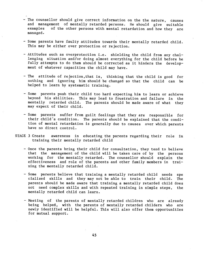- The counsellor should give correct information on the the nature, causes and management of mentally retarded persons. He should give suitable<br>examples of the other persons with mental retardation and how they are of the other persons with mental retardation and how they are managed.
- Some parents have faulty attitudes towards their mentally retarded child. This may be either over protection or rejection.
- Attitudes such as overprotection i.e. shielding the child from any challenging situation and/or doing almost everything for the child before he fully attempts to do them should be corrected as it hinders the development of whatever capacities the child may have.
- The attitude of rejection, that is, thinking that the child is good for nothing and Ignoring him should be changed so that the child can be helped to learn by systematic training.
- Some parents push their child too hard expecting him to learn or achieve beyond his abilities. This may lead to frustration and failure in the mentally retarded child. The parents should be made aware of what they may expect of their child.
- Some parents suffer from guilt feelings that they are responsible for their child's condition. The parents should be explained that the condition of mental retardation Is generally due to causes over which parents have no direct control.
- STAGE 3 Create awareness in educating the parents regarding their role In training their mentally retarded child
	- Once the parents bring their child for consultation, they tend to believe that the management of the child will be taken care of by the persons working for the mentally retarded. The counsellor should explain the effectiveness and role of the parents and other family members in training the mentally retarded child.
	- Some parents believe that training a mentally retarded child needs spe clalized skills and they may not be able to train their child. The parents should be made aware that training a mentally retarded child does not need complex skills and with repeated training in simple steps, the mentally retarded child can learn.
	- Meeting of the parents of mentally retarded children who are already being helped, with the parents of mentally retarded childern who are newly identified will be helpful. This will also offer them opportunities for mutual support.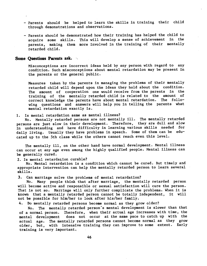- Parents should be helped to learn the skills in training their child through demonstrations and observations.
- Parents should be demonstrated how their training has helped the child to acquire some skills. This will develop a sense of achievement in the parents, making them more involved in the training of their mentally retarded child.

#### Some Questions Parents ask.

Misconceptions are incorrect ideas held by any person with regard to any condition. Such misconceptions about mental retardation may be present in the parents or the general public.

Measures taken by the parents In managing the problems of their mentally retarded child will depend upon the ideas they hold about the condition. The amount of cooperation one would receive from the parents in the training of the mentally retarded child is related to the amount of correct knowledge the parents have about mental retardation. The following questions and answers will help you in telling the parents what mental retardation exactly is.

#### 1. Is mental retardation same as mental illness?

No. Mentally retarded persons are not mentally Ill. The mentally retarded persons are just slow in their development. Therefore, they are dull and slow in understanding and have difficulty in learning various skills needed for daily living. Usually they have problems in speech. Some of them can be educated up to the 5th class while the others cannot reach even this level.

The mentally ill, on the other hand have normal development. Mental illness can occur at any age even among the highly qualified people. Mental illness can be generally cured.

#### 2. Is mental retardation curable?

No. Mental retardation is a condition which cannot be cured. But timely and appropriate intervention can help the mentally retarded person to learn several skills.

3. Can marriage solve the problems of mental retardation?

No. Many people think that after marriage, the mentally retarded person will become active and responsible or sexual satisfaction will cure the person. That is not so. Marriage will only further complicate the problems. When it is known that a mentally retarded person cannot be totally independent, it will not be possible for him/her to look after his/her family.

4. Do mentally retarded persons become normal as they grow older?

No. The mentally retarded person's mental development is slower than that of a normal person. Therefore, when their actual age increases with time, the mental development does not occur at the same pace to catch up with the actual age. The mentally retarded persons cannot become normal as they grow older, but, with intensive training they can improve to some extent. Early training is very important.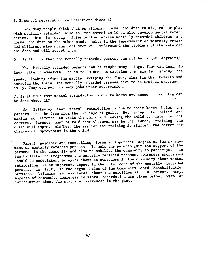#### 5. Ismental retardation an infectious disease?

No. Many people think that on allowing normal children to mix, eat or play with mentally retarded children, the normal children also develop mental retardation. This is wrong. Inter action between mentally retarded children and normal children on the other hand, helps in the improvement of mentally retarded children. Also normal children will understand the problems of the retarded children and will accept them.

6. Is it true that the mentally retarded persons can not be taught anything?

No. Mentally retarded persons can be taught many things. They can learn to<br>confrom themselves: to do tasks such as watering the plants, sowing the look after themselves; to do tasks such as watering the plants. seeds, looking after the cattle, sweeping the floor, cleaning the utensils and carrying the loads. The mentally retarded persons have to be trained systematically. They can perform many jobs under supervision.

7. Is it true that mental retardation is due to karma and hence nothing can be done about it?

No. Believing that mental retardation is due to their karma helps the<br>state of the fallings of suilt. But having this belief and parents to be free from the feelings of guilt. But having this belief and<br>example is the third of location the child to fate is not making no efforts to train the child and leaving the child to fate is not correct. Parents must be told that whatever may be the cause, training child will improve him/her. The earlier the training is started, the better the chances of improvement in the child.

Parent guidance and counselling forms an important aspect of the management of mentally retarded persons. To help the parents gain the support of the persons in the community and also to mobilise the community to participate in the habilitation Programmes the mentally retarded persons, awareness programmes should be undertaken. Bringing about an awareness in the community about mental retardation is an important aspect in the total care of the mentally retarded persons. In fact, in the organization of the Community Based Rehabilitation Services, bringing an awareness about the condition is Aspects of community awareness in mental retardation are given below, with an introduction about the status of awareness in the past.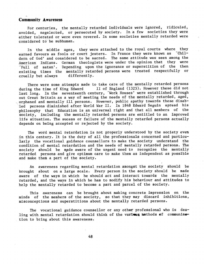#### Community Awareness

For centuries, the mentally retarded individuals were ignored, ridiculed, avoided, negelected, or persecuted by society. In a few societies they were either tolerated or were even revered. In some societies mentally retarded were considered to be subhuman.

In the middle ages, they were attached to the royal courts where they<br>od favours as fools or court jesters. In France they were known as (Chilearned favours as fools or court jesters. In France they were known as dern of God' and considered to be sacred. The same attitude was seen among the American Indians. German theologists were under the opinion that they were Full of satan'. Depending upon the ignorance or superstition of the then existing times the mentally retarded persons were treated respectfully or<br>cruelly but always differently.  $cruelly but always$ 

There were some attempts made to take care of the mentally retarded persons during the time of King Edward II of England (1325). However these did not II of England (1325). However these did not last long. In the seventeenth century, Work Houses' were established through out Great Britain as a way of meeting the needs of the mentally retarded, aged, orphaned and mentally ill persons. However, public apathy towards these disabled persons diminished after World War II. In 1848 Edward Seguin spread his philosophy that Education is an universal right and that all members of the society, including the mentally retarded persons are entitled to an improved life situation. The sucess or failure of the mentally retarded persons actually depends on being accepted or rejected by the society.

The word mental retardation is not properly understood by the society even in this century. It is the duty of all the professionals concerned and particularly the vocational guidance counsellors to make the society understand the condition of mental retardation and the needs of mentally retarded persons. The society should be made aware of the urgent need to recognise the mentally retarded persons and give optimum care to make them as independent as possible and make them a part of the society.

An awareness regarding mental retardation amongst the society should be brought about on a large scale. Every person in the society should be made aware of the ways In which he should act and Interact towards the mentally retarded, and the ways in which he has to modify his behaviour and attitudes to help the mentally retarded to become a part and parcel of the society.

This awareness can be brought about making concrete impression on the minds of the members of the society, so that they may discard inhibitions, misconceptions and superstitions about the mentally retarded persons.

The vocational guidance counsellor or any other professional who is dealing with mental retardation should think of the varians methods of communication to bring about this awareness.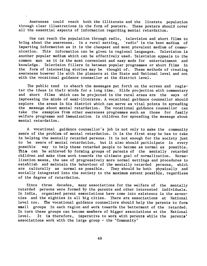Awareness could reach both the illiterate and the literate population through clear illustrations in the form of posters. These posters should cover all the essential aspects of information regarding mental retardation.

One can reach the population through radio, television and short films to bring about the awareness. In a rural setting, 'radio' is the best medium of imparting information as it is the cheapest and most prevalent medium of communication. This information can be given in regional languages. Television is another popular medium which can be effectively used. Television appeals to the common man as it is the most convenient and easy mode for entertainment and knowledge. Television fillers in between popular programmes or short films in the form of interesting stories may be thought of. These methods of creating awareness however lie with the planners at the State and National level and not with the vocational guidance counsellor at the district level.

The public tend to absorb the messages put forth on the ecreen and register the ideas in their minds for a long time. Slide projection with commentary and short films which can be projected in the rural areas are the ways of impressing the minds of semi—literates. A vocational guidance counsellor should explore the areas in his district which can serve as vital points in spreading the message about mental retardation. The vocational guidance counsellor can take the examples from other awareness programmes such as those for family welfare programme and immunization in children for spreading the message about mental retardation.

A vocational guidance counsellor's job is not only to make the community aware of the problem of mental retardation. It is the first step he has to take in helping the mentally retarded persons. It is not enough for the society just to be aware of mental retardation, but it also should participate in every possible way to help these retarded people to become as normal as possible. This can be achieved by forming groups of parents of the mentally retarded children and make them work towards the ultimate goal of normalization. Normalization means, the use of progressively more normal settings and procedures to establish and maintain the behaviour of the mentally retarded persons, which are culturally as normal as possible. They should be both physically and socially integrated into the society to the maximum extent possibie, regardless of the degree of retardation.

Since three decades, many associations for the welfare of the mentally retarded persons were formed by the parents and other interested individuals. In India, organised parent associations have come into existence in the seventies and the eighties in all big cities. There are associations at National level too. The vocational guidance counsellors should help the parents to form small groups in each region and work towards the betterment of the retarded. In turn these groups can become members of bigger associations at the National level. It is therefore, imperative to work with parents while the parents' associations work with the large group — the 'Community'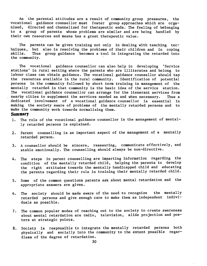As the parental attitudes are a result of community group pressures, the vocational guidance counsellor must foster 'group approaches which are organised. directed and channelized for therapeutic ends. The feeling of betonging to a group of parents whose problems are similar and are being handled by their own resources and means has a great. therapeutic value.

The parents can be given training not only in dealing with teaching techniques, but also in resolving the problems of their children and in coping skills. Thus group guidance becomes a tool in integrating the retarded into Thus group guidance becomes a tool in integrating the retarded into the community.

The vocational guidance counsellor can also help in developing 'Service stations' in rural setting where the parents who are illiterates and belong to labour class can obtain guidance. The vocational guidance counsellor should tap the resources available in the rural community. Identification of potential persons in the community followed by short term training in management of the mentally retarded in that community is the basic idea of the service station. The vocational guidance counsellor can arrange for the itenerant services from nearby cities to supplement the services needed as and when necessary. Thus a dedicated involvement of a vocational guidance counsellor is essential in making the society aware of problems of the mentally retarded persons and to make the community work towards normalizing them.

#### **Summary**

- 1. The role of the vocational guidance counsellor in the management of mentally retarded persons is explained.
- 2. Parent counselling is an important aspect of the management of a mentally retarded person.
- 3. A counsellor should be sincere, reassuring, communicate effectively, and stable emotionally. The counselling should always be non-directive.
- 4. The steps in parent counselling are imparting information regarding the condition of the mentally retarded child, helping the parents to develop the right attitudes towards the mentally handicapped child and educating the parents regarding their role in training their mentally retarded child.
- 5. Some of the common questions parents ask about mental retardation and the appropriate answers are given.
- 6. The society should be made aware of the need to recognize the mentally retarded persons and give enough care to make them as independent individuals as possible.
- 7. The common popular modes of reaching out to the society to create awareness about mental retardation are radio, television, slide projection and posters at strategic points.
- 8. Society is responsible to integrate the mentally retarded persons both physically and socially into the community to the extent possible regardless of the degree of retardation.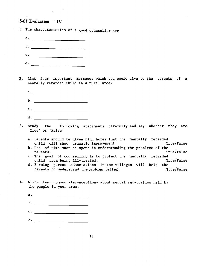#### Self Evaluation  $-IV$

- 1. The characteristics of a good counsellor are
	- $\mathbf{a}$ . b. \_\_\_\_\_\_\_\_\_\_\_\_\_\_\_\_\_\_\_\_\_\_\_\_\_ c. <u>\_\_\_\_\_\_\_\_\_\_\_\_\_\_\_\_\_\_\_\_\_\_\_\_</u> d.
- 2. List four important messages which you would give to the parents of a mentally retarded child in a rural area.
	- a. b. \_\_\_\_\_\_\_\_\_\_\_\_\_\_\_\_\_\_\_\_\_\_\_\_
	- c. \_\_\_\_\_\_\_\_\_\_\_\_\_\_\_\_\_\_\_\_\_\_\_\_\_
	- d. \_\_\_\_\_\_\_\_\_\_\_\_\_\_\_\_\_\_\_\_\_\_\_\_\_
- 3. Study the following statements carefully and say whether they are 'True' or 'False'
	- a. Parents should be given high hopes that the mentally retarded child will show dramatic improvement True/False
	- b. Lot of time must be spent in understanding the problems of the parents. True/False
	- c. The goal of counselling is to protect the mentally retarded child from being ill-treated. True/False
	- d. Forming parent associations inthe villages will help the parents to understand the problem better. The manufacture of the problem in the problem in the set of the problem in the set of the set of the set of the set of the set of the set of the set of the set of the set of the se
- 4. Write four common misconceptions about mental retardation held by the people in your area.
	- $\mathbf{a.}$   $\qquad \qquad \qquad \qquad$ b. \_\_\_\_\_\_\_\_\_\_\_\_\_\_\_\_\_\_\_\_\_\_\_\_ C. d. \_\_\_\_\_\_\_\_\_\_\_\_\_\_\_\_\_\_\_\_\_\_\_\_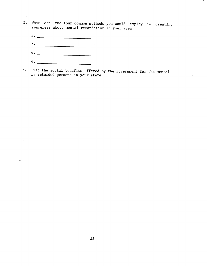- 5. What are the four common methods you would employ in creating awareness about mental retardation in your area.
	- a. b. \_\_\_\_\_\_\_\_\_\_\_\_\_\_\_\_\_\_\_\_\_\_\_\_  $c.$   $\overline{\phantom{a}}$  $d_{\bullet}$  \_ \_

 $\hat{\mathcal{L}}$ 

6. List the social benefits offered by the government for the mentally retarded persons in your state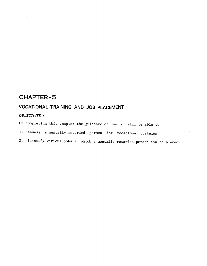### CHAPTER-5

## VOCATIONAL TRAINING AND JOB PLACEMENT

### OBJECTIVES:

On completing this chapter the guidance counsellor will be able to

- 1. Assess a mentally retarded person for vocational training
- 2. Identify various jobs in which a mentally retarded person can be placed.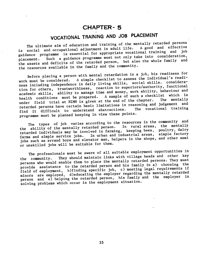### CHAPTER- 5

# VOCATiONAL TRAINING AND JOB PLACEMENT

The ultimate aim of education and training of the mentally retarded persons social and occupational adjustment in adult life. A good and effective guidance programme is essential for appropriate vocational training and job<br>placement. Such a guidance programme must not only take into consideration, placement. Such a guidance programme must not only take into consideration, the assets and deficits of the retarded person, but also the whole family and the resources available in the family and the community.

Before placing a person with mental retardation in a job, his readiness for<br>work must be considered. A simple checklist to assess the individual's readibefore placing a person model.<br>work must be considered. A simple checklist to assess the individual's readiwork must be considered. In Sile-<br>ness including independence in daily living skills, social skills. consideration for others, trustworthiness, reaction to superiors/authority, functional academic skills, ability to manage time and money, work ability, behaviour and<br>health conditions must be prepared. A sample of such a checklist which is health conditions must be prepared. A sample of such a checklist which is<br>health conditions must be prepared. A sample of the phartam. The mentally nearth conditions mass so peeper.<br>under field trial at NIMH is given at the end of the chapter. The mentally retarded persons have certain basic limitations in reasoning and judgement and<br>The vocational training find it difficult to understand abstractions. programme must be planned keeping in view these points.

The types of job varies according to the resources in the community and the ability of the mentally retarded person. In rural areas, the mentally the ability of the mentally retarded person. In rural areas, the mentally retarded individuals may be involved in farming, keeping bees, poultry, dairy farms and simple service jobs. In urban and industrial areas, simple factory jobs such as errand boys and elevator man, helpers in the shops, and other semi or unskilled jobs will be suitable for them.

The professionals must be aware of all suitable employment opportunities in the community. They should maintain links with village heads and other key persons who would enable them to place the mentally retarded persons. They must provide assistance to the retarded person and his family in a) choosing the field of employment, b)finding specific job, c) meeting legal requirements if minors are employed, d)educating the employer regarding the mentally retarded person and e) helping the retarded person, his family and the employer in solving problems which occur in the employment situation.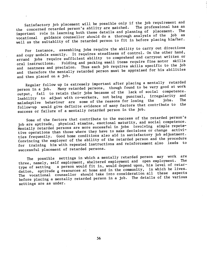Satisfactory job placement will be possible only if the job requirement and<br>statisfactory job placement will be possible only if the professional has an the concerned retarded person's ability are matched. The professional has an important role in learning both these details and planning of placement. vocational guidance counsellor should do a thorough analysis of the job as well as the suitablity of the retarded person to fit in before placing him/her.

For instance, assembling jobs require the ability to carry out directions and copy models exactly. It requires steadiness of control. On the other hand, errand jobs require sufficient ability to comprehend and carryout written or oral instructions. Folding and packing small items require fine motor skills and neatness and precision. Thus each job requires skills specific to the job and therefore the mentally retarded person must be appraised for his abilities and then placed on a job.

Regular follow up is extremely important after placing a mentally retarded person in a job. Many retarded persons, though found to be very good at work output, fail to retain their jobs because of the lack of social competence. Inability to adjust with co-workers, not being punctual, irregularity and<br>the research fibranes for losing the jobs. The maladaptive behaviour are some of the reasons for losing the follow—up would give definite evidence of many factors that contribute to the success or failure of a mentally retarded person in the job.

Some of the factors that contribute to the success of the retarded person's job are aptitude, physical stamina, emotional maturity, and social competence. Mentally retarded persons are more sucessful in jobs involving simple repete tive operations than those where they have to make decisions or change activities frequently. Good home conditions also aid in satisfactory job adjustment. Convincing the employer of the ability of the retarded person and the procedure for training him with repeated instructions and reinforcement also leads to successful placement of retarded persons.

The possible settings in which a mentally retarded person may work are<br>the possible settings in shaltprod employment and open employment. The three, namely, self employment, sheltered employment and open employment. type of setting a person would fit in, would depend upon, his level of retardation, aptitude & resources at home and in the community, in which he lives. The vocational counsellor should take into consideration all these aspects before placing a mentally retarded person in a job. The details of the various settings are as under.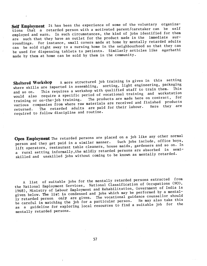Self Employment It has been the experience of some of the voluntary organizations that a retarded person with a motivated parent/caretaker can be self employed and earn. In such circumstances, the kind of jobs identified for them are such that they have an outlet for the product made in the immediate surroundings. For instance, small covers made at home by mentally retarded adults can be sold right away to a nursing home in the neighbourhood so that they can be used for dispensing tablets to patients. Similarly articles like agarbathi made by them at home can be sold by them in the community.

Sheltered Workshop A more structured job training is given in this setting<br>states ackaging and the setting is a setting is the engineering, packaging where skills are imparted in assembling, sorting, light engineering, packaging This requires a workshop with qualified staff to train them. This<br>require a specific period of vocational training and workstation<br>nn-the-iob training. The products are made here on contract, for would also require a specific period of vocational training and workstation<br>training or on-the-job training. The products are made here on contract, for would also require a specific period of them.<br>training or on-the-job training. The products are made here on contract, for various companies from where raw materials are received and finished products various companies from where faw materiary are reception. Here they are<br>returned. The retarded adults are paid for their labour. Here they are required to follow discipline and routine.

Open Employment The retarded persons are placed on a job like any other normal person and they get paid in a similar manner. Such jobs include, office boys, lift operators, restaurant table cleaners, house maids, gardeners and so on. In a rural setting informally,the mildly retarded persons are absorbed in semiskilled and unskilled jobs without coming to be known as mentally retarded.

A list of suitable jobs for the mentally retarded persons extracted from the National Employment Services, National Classification of Occupations (NCO, 1968), Ministry of Labour Employment and Rehabilitation, Government of India is given below. The list is condensed and jobs which may be performed by a mentally retarded person only are given. The vocational guidance counsellor should be careful in matching the job for a particular person. He may also take this as a guideline for exploring local resources to find a suitable job for the mentally retarded persons.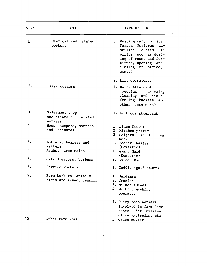| S.No. | <b>GROUP</b>                                        | TYPE OF JOB                                                                                                                                                                            |
|-------|-----------------------------------------------------|----------------------------------------------------------------------------------------------------------------------------------------------------------------------------------------|
| 1.    | Clerical and related<br>workers                     | 1. Dusting man, office,<br>Farash (Performs<br>$un-$<br>skilled<br>duties<br>in<br>office such as dust-<br>ing of rooms and fur-<br>niture, opening and<br>closing of office,<br>etc., |
|       |                                                     | 2. Lift operators.                                                                                                                                                                     |
| 2.    | Dairy workers                                       | 1. Dairy Attendant<br>(Feeding<br>animals,<br>cleaning and disin-<br>fecting buckets and<br>other containers)                                                                          |
| 3.    | Salesmen, shop<br>assistants and related<br>workers | 1. Backroom attendant                                                                                                                                                                  |
| 4.    | House keepers, matrons<br>and stewards              | 1. Linen Keeper<br>2. Kitchen porter,<br>3. Helpers in kitchen                                                                                                                         |
| 5.    | Butlers, bearers and<br>waiters                     | work<br>1. Bearer, Waiter,                                                                                                                                                             |
| 6.    | Ayahs, nurse maids                                  | (Domestic)<br>l. Ayah, Maid                                                                                                                                                            |
| 7.    | Hair dressers, barbers                              | (Domestic)<br>1. Saloon Boy                                                                                                                                                            |
| 8.    | Service Workers                                     | 1. Caddie (golf court)                                                                                                                                                                 |
| 9.    | Farm Workers, animals<br>birds and insect rearing   | 1. Herdsman<br>2. Grazier<br>3. Milker (Hand)<br>4. Milking machine<br>operator                                                                                                        |
|       |                                                     | 5. Dairy Farm Workers<br>involved in farm live<br>stock for milking,                                                                                                                   |
| 10.   | Other Farm Work                                     | cleaning, feeding etc.<br>1. Grass cutter                                                                                                                                              |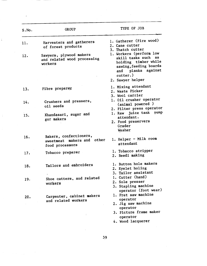| S.No.      | <b>GROUP</b>                                                                                                        | TYPE OF JOB                                                                                                                                                                                |
|------------|---------------------------------------------------------------------------------------------------------------------|--------------------------------------------------------------------------------------------------------------------------------------------------------------------------------------------|
| 11.<br>12. | Harvesters and gatherers<br>of forest products<br>Sawyers, plywood makers<br>and related wood processing<br>workers | 1. Gatherer (Fire wood)<br>2. Cane cutter<br>3. Thatch cutter<br>1. Workers (perform low<br>skill tasks such<br>as<br>holding timber while<br>sawing, feeding boards<br>and planks against |
|            |                                                                                                                     | cutter.)<br>2. Sawyer helper<br>1. Mixing attendant                                                                                                                                        |
| 13.        | Fibre preparer                                                                                                      | 2. Waste Picker<br>3. Wool carrier                                                                                                                                                         |
| 14.        | Crushers and pressers,<br>oil seeds                                                                                 | 1. Oil crusher operator<br>(animal powered)<br>2. Filter press operator                                                                                                                    |
| 15.        | Khandasari, sugar and<br>gur makers                                                                                 | 1. Raw juice tank pump<br>attendant.<br>2. Food preservers<br>Grader<br>Washer                                                                                                             |
| 16.        | Bakers, confectioners,<br>sweetmeat makers and other<br>food processors                                             | 1. Helper - Milk room<br>attendant                                                                                                                                                         |
| 17.        | Tobacco preparer                                                                                                    | 1. Tobacco stripper<br>2. Beedi making                                                                                                                                                     |
| 18.        | Tailors and embroiders                                                                                              | 1. Button hole makers<br>2. Eyelet holing<br>3. Tailor assistant                                                                                                                           |
| 19.        | Shoe cutters, and related<br>workers                                                                                | 1. Cutter (hand)<br>2. Sole presser<br>3. Stapling machine<br>operator (foot wear)                                                                                                         |
| 20.        | Carpenter, cabinet makers<br>and related workers                                                                    | 1. Fret saw machine<br>operator<br>2. Jig saw machine<br>operator                                                                                                                          |
|            | ÷                                                                                                                   | 3. Picture frame maker<br>operator                                                                                                                                                         |
|            |                                                                                                                     | 4. Wood lacquerer                                                                                                                                                                          |

Ć.

59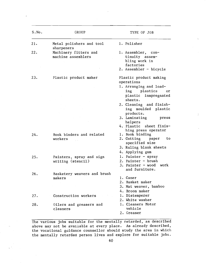| S.No. | GROUP                                         | TYPE OF JOB                                                                                                                                                                                                                                         |
|-------|-----------------------------------------------|-----------------------------------------------------------------------------------------------------------------------------------------------------------------------------------------------------------------------------------------------------|
| 21.   | Metal polishers and tool<br>sharpeners        | 1. Polisher                                                                                                                                                                                                                                         |
| 22.   | Machinery fitters and<br>machine assemblers   | 1. Assembler, con-<br>tinuity assem-<br>bling work in<br>factories<br>2. Assembler - bicycle                                                                                                                                                        |
| 23.   | Plastic product maker                         | Plastic product making<br>operations<br>1. Arranging and load-<br>ing plastics<br>or<br>plastic inmpregnated<br>sheets.<br>2. Cleaning and finish-<br>ing moulded plastic<br>products.<br>3. Laminating press<br>helpers<br>4. Plastic sheet finis- |
| 24.   | Book binders and related<br>workers           | hing press operator<br>1. Book binding<br>2. Cutting paper<br>to<br>specified size<br>3. Ruling blank sheets<br>4. Applying gum                                                                                                                     |
| 25.   | Painters, spray and sign<br>writing (stencil) | 1. Painter $-$ spray<br>2. Painter - brush<br>3. Painter - wood work<br>and furniture.                                                                                                                                                              |
| 26.   | Basketery weavers and brush<br>makers         | 1. Caner<br>2. Basket maker<br>3. Mat weaver, bamboo<br>4. Broom maker                                                                                                                                                                              |
| 27.   | Construction workers                          | 1. Distemperer<br>2. White washer                                                                                                                                                                                                                   |
| 28.   | Oilers and greasers and<br>cleaners           | 1. Cleaners Motor<br>vehicle<br>2. Greaser                                                                                                                                                                                                          |

The various jobs suitable for the mentally retarded, as described above may not be available at every place. As already described, the vocational guidance counsellor should study the area in which the mentally retarded person lives and explore for suitable jobs.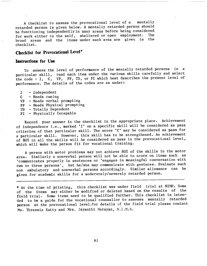A checklist to assess the prevocational level of a mentally retarded person is given below. A mentally retarded person should be functioning independently in many areas before being considered for work either in the self, sheltered or open employment. broad areas and the items under each area are given in the checklist.

### Checklist for Prevocational Level '

#### Instructions for Use

To assess the level of performance of the mentally retarded persons in a particular skill, read each item under the various skills carefully and select the code - I, C, VP, PP, TD, or PI which best describes the present level of performance. The details of the codes are as under:

- I Independent
- C Needs cueing
- VP Needs verbal prompting
- PP Needs Physical prompting
- 
- TD Totally Dependent<br>PI Physically Incapable

Record your answer in the checklist in the appropriate place. Achievement of independence i.e., marked 'I' on a specific skill will he considered as pass criterion of that particular skill. The score 'C' may be considered as pass for a particular skill. However, this skill has to be strengthened. An achievement of 80% in all the skills will be considered as pass in the prevocational level, which will make the person fit for vocational training.

A person with motor problems may not achieve 80% of the skills in the motor area. Similarly a nonverbal person will not be able to score on items such as 'communicates properly in sentences or 'engages in meaningful conversation with two or three persons', but he/she may communicate with gestures. Evaluate such non ambulatory and nonverbal persons accordingly. Similar allowance can be given for academic skills for a moderately/severely retarded person.

\* At the time of printing, this checklist was under field trial at NIMH. Some of the items may either be modified or deleted based on the results of the field trial. Some items need to be qualified further. This checklist is intended to be a guide for the vocational counsellor to assessa mentally retarded person at the prevocational level.For details of the field trial please contact Ms. Thressia Kutty and Mrs. Jayanthi Narayan, N.I.M.H.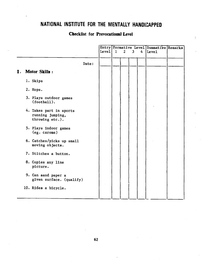# NATIONAL INSTITUTE FOR THE MENTALLY HANDICAPPED

### Checklist for Prevocational Level

|    |                                                                |       | Entry Formative Level Summative Remarks |              |              |   |                   |  |
|----|----------------------------------------------------------------|-------|-----------------------------------------|--------------|--------------|---|-------------------|--|
|    |                                                                | Level | 1                                       | $\mathbf{2}$ | $\mathbf{3}$ | 4 | Leve <sub>1</sub> |  |
|    | Date:                                                          |       |                                         |              |              |   |                   |  |
| Ι. | Motor Skills :                                                 |       |                                         |              |              |   |                   |  |
|    | 1. Skips                                                       |       |                                         |              |              |   |                   |  |
|    | 2. Hops.                                                       |       |                                         |              |              |   |                   |  |
|    | 3. Plays outdoor games<br>(football).                          |       |                                         |              |              |   |                   |  |
|    | 4. Takes part in sports<br>running jumping,<br>throwing etc.). |       |                                         |              |              |   |                   |  |
|    | 5. Plays indoor games<br>(eg. caroms)                          |       |                                         |              |              |   |                   |  |
|    | 6. Catches/picks up small<br>moving objects.                   |       |                                         |              |              |   |                   |  |
|    | 7. Stitches a button.                                          |       |                                         |              |              |   |                   |  |
|    | 8. Copies any line<br>picture.                                 |       |                                         |              |              |   |                   |  |
|    | 9. Can sand paper a<br>given surface. (qualify)                |       |                                         |              |              |   |                   |  |
|    | 10. Rides a bicycle.                                           |       |                                         |              |              |   |                   |  |
|    |                                                                |       |                                         |              |              |   |                   |  |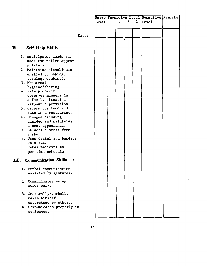| ż.                                                         |       |       |              |                |   |   | Entry Formative Level Summative Remarks |  |
|------------------------------------------------------------|-------|-------|--------------|----------------|---|---|-----------------------------------------|--|
|                                                            |       | Leve1 | $\mathbf{1}$ | $\overline{2}$ | 3 | 4 | Level                                   |  |
|                                                            |       |       |              |                |   |   |                                         |  |
|                                                            | Date: |       |              |                |   |   |                                         |  |
|                                                            |       |       |              |                |   |   |                                         |  |
| Self Help Skills :<br>П.                                   |       |       |              |                |   |   |                                         |  |
| 1. Anticipates needs and                                   |       |       |              |                |   |   |                                         |  |
| uses the toilet appro-<br>priately.                        |       |       |              |                |   |   |                                         |  |
| 2. Maintains cleanliness                                   |       |       |              |                |   |   |                                         |  |
| unaided (brushing,<br>bathing, combing).                   |       |       |              |                |   |   |                                         |  |
| 3. Menstrual                                               |       |       |              |                |   |   |                                         |  |
| hygiene/shaving<br>4. Eats properly                        |       |       |              |                |   |   |                                         |  |
| observes manners in                                        |       |       |              |                |   |   |                                         |  |
| a family situation<br>without supervision.                 |       |       |              |                |   |   |                                         |  |
| 5. Orders for food and                                     |       |       |              |                |   |   |                                         |  |
| eats in a restaurant.                                      |       |       |              |                |   |   |                                         |  |
| 6. Manages dressing<br>unaided and maintains               |       |       |              |                |   |   |                                         |  |
| a neat appearance.                                         |       |       |              |                |   |   |                                         |  |
| 7. Selects clothes from<br>a shop.                         |       |       |              |                |   |   |                                         |  |
| 8. Uses dettol and bandage                                 |       |       |              |                |   |   |                                         |  |
| on a cut.<br>9. Takes medicine as                          |       |       |              |                |   |   |                                         |  |
| per time schedule.                                         |       |       |              |                |   |   |                                         |  |
| <b>Communication Skills</b><br>$\mathbf{m}_{\cdot}$ .<br>÷ |       |       |              |                |   |   |                                         |  |
| 1. Verbal communication                                    |       |       |              |                |   |   |                                         |  |
| assisted by gestures.                                      |       |       |              |                |   |   |                                         |  |
| 2. Communicates using                                      |       |       |              |                |   |   |                                         |  |
| words only.                                                |       |       |              |                |   |   |                                         |  |
| 3. Gesturally/verbally                                     |       |       |              |                |   |   |                                         |  |
| makes himself<br>understood by others.                     |       |       |              |                |   |   |                                         |  |
| 4. Communicates properly in                                |       |       |              |                |   |   |                                         |  |
| sentences.                                                 |       |       |              |                |   |   |                                         |  |
|                                                            |       |       |              |                |   |   |                                         |  |

 $\frac{1}{2}$  .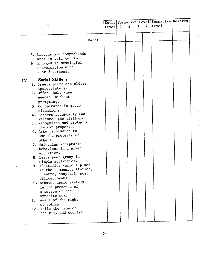|                              |       |              |   |   |   | Entry   Formative Level Summative Remarks |  |
|------------------------------|-------|--------------|---|---|---|-------------------------------------------|--|
|                              | Leve1 | $\mathbf{1}$ | 2 | 3 | 4 | Level                                     |  |
|                              |       |              |   |   |   |                                           |  |
|                              |       |              |   |   |   |                                           |  |
|                              |       |              |   |   |   |                                           |  |
| Date:                        |       |              |   |   |   |                                           |  |
|                              |       |              |   |   |   |                                           |  |
|                              |       |              |   |   |   |                                           |  |
| 5. Listens and comprehends   |       |              |   |   |   |                                           |  |
| what is told to him.         |       |              |   |   |   |                                           |  |
| 6. Engages in meaningful     |       |              |   |   |   |                                           |  |
| conversation with            |       |              |   |   |   |                                           |  |
| 2 or 3 persons.              |       |              |   |   |   |                                           |  |
|                              |       |              |   |   |   |                                           |  |
| Social Skills :<br>IV.       |       |              |   |   |   |                                           |  |
| 1. Greets peers and elders   |       |              |   |   |   |                                           |  |
| appropriately.               |       |              |   |   |   |                                           |  |
| 2. Offers help when          |       |              |   |   |   |                                           |  |
| needed, without              |       |              |   |   |   |                                           |  |
|                              |       |              |   |   |   |                                           |  |
| prompting.                   |       |              |   |   |   |                                           |  |
| 3. Co-operates in group      |       |              |   |   |   |                                           |  |
| situations.                  |       |              |   |   |   |                                           |  |
| 4. Behaves acceptably and    |       |              |   |   |   |                                           |  |
| welcomes the visitors.       |       |              |   |   |   |                                           |  |
| 5. Recognizes and protects   |       |              |   |   |   |                                           |  |
| his own property.            |       |              |   |   |   |                                           |  |
| 6. Asks permission to        |       |              |   |   |   |                                           |  |
| use the property of          |       |              |   |   |   |                                           |  |
| others.                      |       |              |   |   |   |                                           |  |
| 7. Maintains acceptable      |       |              |   |   |   |                                           |  |
| behaviour in a given         |       |              |   |   |   |                                           |  |
| situation.                   |       |              |   |   |   |                                           |  |
| 8. Leads peer group in       |       |              |   |   |   |                                           |  |
| simple activities.           |       |              |   |   |   |                                           |  |
| 9. Identifies various places |       |              |   |   |   |                                           |  |
| in the community (toilet,    |       |              |   |   |   |                                           |  |
| theatre, hospital, post      |       |              |   |   |   |                                           |  |
| office, bank)                |       |              |   |   |   |                                           |  |
| 10. Behaves appropriately    |       |              |   |   |   |                                           |  |
| in the presence of           |       |              |   |   |   |                                           |  |
| a person of the              |       |              |   |   |   |                                           |  |
| opposite sex.                |       |              |   |   |   |                                           |  |
| 11. Aware of the right       |       |              |   |   |   |                                           |  |
| of voting.                   |       |              |   |   |   |                                           |  |
| 12. Tells the name of        |       |              |   |   |   |                                           |  |
| the city and country.        |       |              |   |   |   |                                           |  |
|                              |       |              |   |   |   |                                           |  |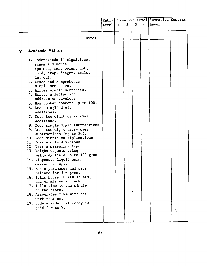|    |                                               |  | $\mathbf{I}$<br>Level | $\overline{2}$ | $\mathbf{3}$ | 4 | Entry   Formative Level   Summative   Remarks<br>Leve1 |    |  |
|----|-----------------------------------------------|--|-----------------------|----------------|--------------|---|--------------------------------------------------------|----|--|
|    |                                               |  |                       |                |              |   |                                                        |    |  |
|    |                                               |  |                       |                |              |   |                                                        |    |  |
|    | Date:                                         |  |                       |                |              |   |                                                        |    |  |
| V. | Academic Skills:                              |  |                       |                |              |   |                                                        |    |  |
|    |                                               |  |                       |                |              |   |                                                        |    |  |
|    | 1. Understands 10 significant                 |  |                       |                |              |   |                                                        |    |  |
|    | signs and words                               |  |                       |                |              |   |                                                        |    |  |
|    | (poison, men, women, hot,                     |  |                       |                |              |   |                                                        |    |  |
|    | cold, stop, danger, toilet                    |  |                       |                |              |   |                                                        |    |  |
|    | in, out).                                     |  |                       |                |              |   |                                                        |    |  |
|    | 2. Reads and comprehends                      |  |                       |                |              |   |                                                        |    |  |
|    | simple sentences.                             |  |                       |                |              |   |                                                        |    |  |
|    | 3. Writes simple sentences.                   |  |                       |                |              |   |                                                        |    |  |
|    | 4. Writes a letter and                        |  |                       |                |              |   |                                                        |    |  |
|    | address on envelope.                          |  |                       |                |              |   |                                                        |    |  |
|    | 5. Has number concept up to 100.              |  |                       |                |              |   |                                                        |    |  |
|    | 6. Does single digit                          |  |                       |                |              |   |                                                        |    |  |
|    | additions.                                    |  |                       |                |              |   |                                                        |    |  |
|    | 7. Does two digit carry over                  |  |                       |                |              |   |                                                        |    |  |
|    | additions.                                    |  |                       |                |              |   |                                                        |    |  |
|    | 8. Does single digit subtractions             |  |                       |                |              |   |                                                        |    |  |
|    | 9. Does two digit carry over                  |  |                       |                |              |   |                                                        |    |  |
|    | subtractions (up to $20$ ).                   |  |                       |                |              |   |                                                        |    |  |
|    | 10. Does simple multiplications               |  |                       |                |              |   |                                                        |    |  |
|    | 11. Does simple divisions                     |  |                       |                |              |   |                                                        |    |  |
|    | 12. Uses a measuring tape                     |  |                       |                |              |   |                                                        |    |  |
|    | 13. Weighs objects using                      |  |                       |                |              |   |                                                        |    |  |
|    | weighing scale up to 100 grams                |  |                       |                |              |   |                                                        |    |  |
|    | 14. Dispenses liquid using                    |  |                       |                |              |   |                                                        |    |  |
|    | measuring cups.                               |  |                       |                |              |   |                                                        |    |  |
|    | 15. Makes purchases and gets                  |  |                       |                |              |   |                                                        |    |  |
|    | balance for 5 rupees.                         |  |                       |                |              |   |                                                        |    |  |
|    | 16. Tells hours 30 mts, 15 mts,               |  |                       |                |              |   |                                                        |    |  |
|    | and 45 mts.on a clock.                        |  |                       |                |              |   |                                                        |    |  |
|    | 17. Tells time to the minute<br>on the clock. |  |                       |                |              |   |                                                        |    |  |
|    | 18. Associates time with the                  |  |                       |                |              |   |                                                        |    |  |
|    |                                               |  |                       |                |              |   |                                                        |    |  |
|    | work routine.                                 |  |                       |                |              |   |                                                        |    |  |
|    | 19. Understands that money is                 |  |                       |                |              |   |                                                        |    |  |
|    | paid for work.                                |  |                       |                |              |   |                                                        | ÷. |  |
|    |                                               |  |                       |                |              |   |                                                        |    |  |
|    |                                               |  |                       |                |              |   |                                                        |    |  |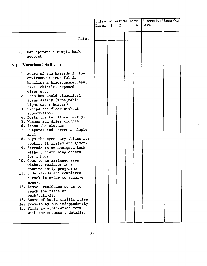| Leve1<br>Pate:                                                                                                                      |  | $\mathbf{1}$ | $\overline{2}$ | Entry   Formative Level   Summative   Remarks<br>$\mathbf{3}$<br>4 |  | ${\tt Level}$ |  |
|-------------------------------------------------------------------------------------------------------------------------------------|--|--------------|----------------|--------------------------------------------------------------------|--|---------------|--|
|                                                                                                                                     |  |              |                |                                                                    |  |               |  |
| 20. Can operate a simple bank                                                                                                       |  |              |                |                                                                    |  |               |  |
| account.                                                                                                                            |  |              |                |                                                                    |  |               |  |
| <b>Vocational Skills</b><br>$\mathbf{r}$<br>VI.                                                                                     |  |              |                |                                                                    |  |               |  |
| 1. Aware of the hazards in the<br>environment (careful in<br>handling a blade, hammer, saw,<br>pike, chistle, exposed<br>wires etc) |  |              |                |                                                                    |  |               |  |
| 2. Uses household electrical<br>items safely (iron, table<br>light, water heater)                                                   |  |              |                |                                                                    |  |               |  |
| 3. Sweeps the floor without<br>supervision.<br>4. Dusts the furniture neatly.                                                       |  |              |                |                                                                    |  |               |  |
| 5. Washes and dries clothes.                                                                                                        |  |              |                |                                                                    |  |               |  |
| 6. Irons the clothes.<br>7. Prepares and serves a simple                                                                            |  |              |                |                                                                    |  |               |  |
| mea1.                                                                                                                               |  |              |                |                                                                    |  |               |  |
| 8. Buys the necessary things for<br>cooking if listed and given.                                                                    |  |              |                |                                                                    |  |               |  |
| 9. Attends to an assigned task<br>without disturbing others<br>for 1 hour.                                                          |  |              |                |                                                                    |  |               |  |
| 10. Goes to an assigned area<br>without reminder in a<br>routine daily programme                                                    |  |              |                |                                                                    |  |               |  |
| 11. Understands and completes<br>a task in order to receive<br>money.                                                               |  |              |                |                                                                    |  |               |  |
| 12. Leaves residence so as to<br>reach the place of<br>work/activity.                                                               |  |              |                |                                                                    |  |               |  |
| 13. Aware of basic traffic rules.                                                                                                   |  |              |                |                                                                    |  |               |  |
| 14. Travels by bus independently.<br>15. Fills an application form<br>with the necessary details.                                   |  |              |                |                                                                    |  |               |  |

a ha

66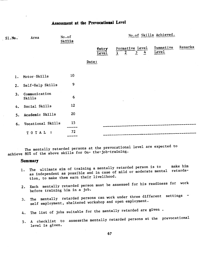### Assessment at the Prevocational Level

| Area                    | No.of                        | No.of Skills Achieved.                                                                                     |  |
|-------------------------|------------------------------|------------------------------------------------------------------------------------------------------------|--|
|                         |                              | Remarks<br>Summative<br>Formative Level<br>Entry<br>Level<br>4<br>$\frac{3}{2}$<br>$\overline{2}$<br>Level |  |
|                         |                              | Date:                                                                                                      |  |
| Motor-Skills            | 10                           |                                                                                                            |  |
| Self-Help Skills        | 9                            |                                                                                                            |  |
| Communication<br>Skills | 6                            |                                                                                                            |  |
|                         | 12                           |                                                                                                            |  |
| Academic Skills         | 20                           |                                                                                                            |  |
|                         | 15                           |                                                                                                            |  |
| TOTAL:                  | 72<br>_____                  |                                                                                                            |  |
| 5.                      | 1.<br>4. Social Skills<br>6. | <b>Skills</b><br>Vocational Skills                                                                         |  |

The mentally retarded persons at the prevocational level are expected to achieve 80% of the above skills for On- the-job-training.

#### **Summary**

- 1. The ultimate aim of training a mentally retarded person is to make him as independent as possible and in case of mild or moderate mental retardation, to make them earn their livelihood.
- 2. Each mentally retarded person must be assessed for his readiness for work before training him in a job.
- 3. The mentally retarded persons can work under three different settings self employment, sheltered workshop and open employment.
- 4. The list of jobs suitable for the mentally retarded are given.
- 5. A checklist to assessthe mentally retarded persons at the prevocational level is given.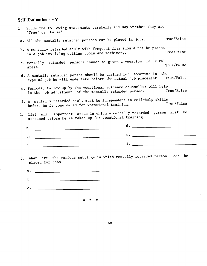### Self Evaluation  $-V$

- 1. Study the following statements carefully and say whether they are True' or False'. a. All the mentally retarded persons can be placed in jobs. True/False
	- b. A mentally retarded adult with frequent fits should not be placed<br>True/False in a job involving cutting tools and machinery.
	- c. Mentally retarded persons cannot be given a vocation in rural areas.<br>areas. True/False
	- d. A mentally retarded person should be trained for sometime in the<br>
	intervalse in the still undertake before the actual job placement. True/False type of job he will undertake before the actual job placement.
	- e. Periodic follow up by the vocational guidance counsellor will help<br>rue/False in the job adjustment of the mentally retarded person.
	- f. A mentally retarded adult must be independent in self—help skills before he is considered for vocational training.
- 2. List six important areas in which a mentally retarded person must be assessed before he is taken up for vocational training.

|                |                                                                                                                       | and the control of the control of the control of the control of the control of the control of the control of th |
|----------------|-----------------------------------------------------------------------------------------------------------------------|-----------------------------------------------------------------------------------------------------------------|
| $D -$          | <u> 1980 - Jan Barbara, manazarta da kasas da kasas da kasas da kasas da kasas da kasas da kasas da kasas da kasa</u> | <u> 1980 - Jan James Alemania, martin alemaniar politik (</u>                                                   |
| $\mathbf{c}$ . | <u> 1980 - Jan Barbara, manazarta eta propinsia (h. 1980).</u>                                                        |                                                                                                                 |

- 3. What are the various settings in which mentally retarded person can be placed for jobs.
	- a. \_\_\_\_\_\_\_\_\_\_\_\_\_\_\_\_\_\_\_\_\_\_\_\_\_\_\_\_\_
	- b. <u>\_\_\_\_\_\_\_\_\_\_\_\_\_\_\_</u>\_\_\_\_\_\_\_\_\_
	- C. \_\_\_\_\_\_\_\_\_\_\_\_\_\_\_\_\_\_\_\_\_\_\_\_\_\_\_\_\_\_

\* \* \*

68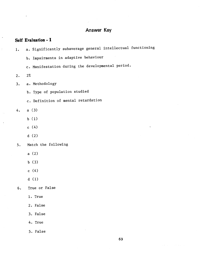# Answer Key

## Self Evaluation - I

 $\ddot{\phantom{a}}$ 

ł

 $\lambda$ 

| 1. | a. Significantly subaverage general intellectual functioning |
|----|--------------------------------------------------------------|
|    | b. Impairments in adaptive behaviour                         |
|    | c. Manifestation during the developmental period.            |
| 2. | $2\%$                                                        |
| 3. | a. Methodology                                               |
|    | b. Type of population studied                                |
|    | c. Definition of mental retardation                          |
| 4. | a(3)                                                         |
|    | b(1)                                                         |
|    | c(4)                                                         |
|    | d(2)                                                         |
| 5. | Match the following                                          |
|    | a(2)                                                         |
|    | b(3)                                                         |
|    | c(4)                                                         |
|    | d(1)                                                         |
| 6. | True or False                                                |
|    | 1. True                                                      |
|    | 2. False                                                     |
|    | 3. False                                                     |
|    | 4. True                                                      |

5. False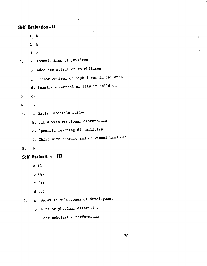### Self Evaluation -II

1. b

2. b

3. c

4. a. Immunization of children

b. Adequate nutrition to children

c. Prompt control of high fever in children

d. Immediate control of fits in children

5. c.

- 6 c.
- 7. a. Early infantile autism

b. Child with emotional disturbance

c. Specific learning disabilities

d. Child with hearing and or visual handicap

8. b.

### Self Evaluation - III

- 1. a(2)
	- b (4)
	- $c(1)$
	- $d(3)$

2. a Delay in milestones of development

b Fits or physical disability

c Poor scholastic performance

ţ.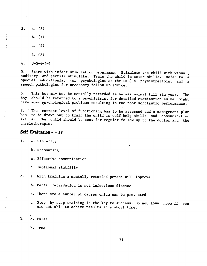- 3. a. (3)
	- b. (1)
	- c. (4)
	- d. (2)
- 4. 3—5—4—2—1

5. Start with infant stimulation programme. Stimulate the child with visual, auditory and tactile stimulite. Train the child in motor skills. Refer to a special educationist (or psychologist at the DRC) a physiotherapist and a speech pathologist for necessary follow up advice.

6. This boy may not be mentally retarded as he was normal till 9th year. The boy should be referred to a psychiatrist for detailed examination as he might have some psychological problems resulting in the poor scholastic performance.

7. The current level of functioning has to be assessed and a management plan has to be drawn out to train the child in self help skills and communication<br>skills. The child should be sent for reqular follow up to the dector and the The child should be sent for regular follow up to the doctor and the physiotherapist

#### Self Evaluation - - IV

1. a. Sincerity

- b. Reassuring
- c. Effective communication
- d. Emotional stability

2. a. With training a mentally retarded person will improve

- b. Mental retardation is not infectious disease
- c. There are a number of causes which can be prevented
- d. Step by step training is the key to success. Do not lose hope if you are not able to achive results in a short time.

3. a. False

b. True